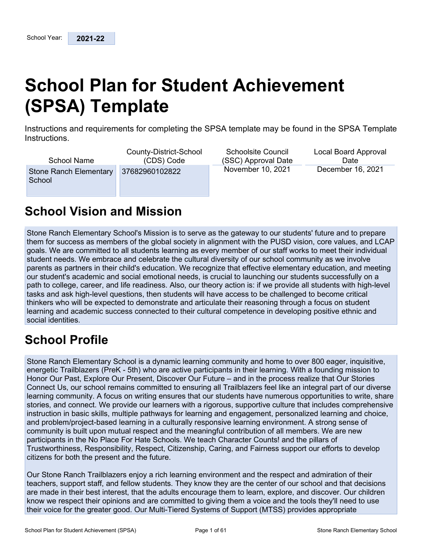# **School Plan for Student Achievement (SPSA) Template**

Instructions and requirements for completing the SPSA template may be found in the SPSA Template Instructions.

| <b>School Name</b>               | County-District-School | <b>Schoolsite Council</b> | Local Board Approval |
|----------------------------------|------------------------|---------------------------|----------------------|
|                                  | (CDS) Code             | (SSC) Approval Date       | Date                 |
| Stone Ranch Elementary<br>School | 37682960102822         | November 10, 2021         | December 16, 2021    |

## **School Vision and Mission**

Stone Ranch Elementary School's Mission is to serve as the gateway to our students' future and to prepare them for success as members of the global society in alignment with the PUSD vision, core values, and LCAP goals. We are committed to all students learning as every member of our staff works to meet their individual student needs. We embrace and celebrate the cultural diversity of our school community as we involve parents as partners in their child's education. We recognize that effective elementary education, and meeting our student's academic and social emotional needs, is crucial to launching our students successfully on a path to college, career, and life readiness. Also, our theory action is: if we provide all students with high-level tasks and ask high-level questions, then students will have access to be challenged to become critical thinkers who will be expected to demonstrate and articulate their reasoning through a focus on student learning and academic success connected to their cultural competence in developing positive ethnic and social identities.

## **School Profile**

Stone Ranch Elementary School is a dynamic learning community and home to over 800 eager, inquisitive, energetic Trailblazers (PreK - 5th) who are active participants in their learning. With a founding mission to Honor Our Past, Explore Our Present, Discover Our Future – and in the process realize that Our Stories Connect Us, our school remains committed to ensuring all Trailblazers feel like an integral part of our diverse learning community. A focus on writing ensures that our students have numerous opportunities to write, share stories, and connect. We provide our learners with a rigorous, supportive culture that includes comprehensive instruction in basic skills, multiple pathways for learning and engagement, personalized learning and choice, and problem/project-based learning in a culturally responsive learning environment. A strong sense of community is built upon mutual respect and the meaningful contribution of all members. We are new participants in the No Place For Hate Schools. We teach Character Counts! and the pillars of Trustworthiness, Responsibility, Respect, Citizenship, Caring, and Fairness support our efforts to develop citizens for both the present and the future.

Our Stone Ranch Trailblazers enjoy a rich learning environment and the respect and admiration of their teachers, support staff, and fellow students. They know they are the center of our school and that decisions are made in their best interest, that the adults encourage them to learn, explore, and discover. Our children know we respect their opinions and are committed to giving them a voice and the tools they'll need to use their voice for the greater good. Our Multi-Tiered Systems of Support (MTSS) provides appropriate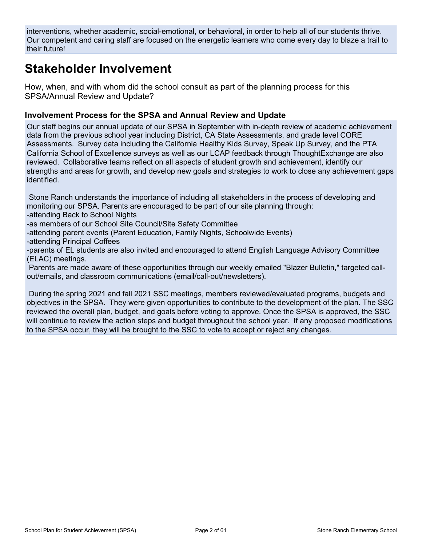interventions, whether academic, social-emotional, or behavioral, in order to help all of our students thrive. Our competent and caring staff are focused on the energetic learners who come every day to blaze a trail to their future!

## **Stakeholder Involvement**

How, when, and with whom did the school consult as part of the planning process for this SPSA/Annual Review and Update?

#### **Involvement Process for the SPSA and Annual Review and Update**

Our staff begins our annual update of our SPSA in September with in-depth review of academic achievement data from the previous school year including District, CA State Assessments, and grade level CORE Assessments. Survey data including the California Healthy Kids Survey, Speak Up Survey, and the PTA California School of Excellence surveys as well as our LCAP feedback through ThoughtExchange are also reviewed. Collaborative teams reflect on all aspects of student growth and achievement, identify our strengths and areas for growth, and develop new goals and strategies to work to close any achievement gaps identified.

Stone Ranch understands the importance of including all stakeholders in the process of developing and monitoring our SPSA. Parents are encouraged to be part of our site planning through: -attending Back to School Nights

-as members of our School Site Council/Site Safety Committee

-attending parent events (Parent Education, Family Nights, Schoolwide Events)

-attending Principal Coffees

-parents of EL students are also invited and encouraged to attend English Language Advisory Committee (ELAC) meetings.

Parents are made aware of these opportunities through our weekly emailed "Blazer Bulletin," targeted callout/emails, and classroom communications (email/call-out/newsletters).

During the spring 2021 and fall 2021 SSC meetings, members reviewed/evaluated programs, budgets and objectives in the SPSA. They were given opportunities to contribute to the development of the plan. The SSC reviewed the overall plan, budget, and goals before voting to approve. Once the SPSA is approved, the SSC will continue to review the action steps and budget throughout the school year. If any proposed modifications to the SPSA occur, they will be brought to the SSC to vote to accept or reject any changes.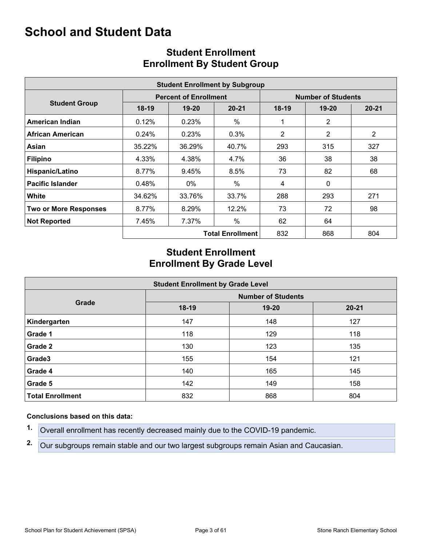## **School and Student Data**

|                              |         |                              | <b>Student Enrollment by Subgroup</b> |         |                                                                                                                                                                                           |     |  |
|------------------------------|---------|------------------------------|---------------------------------------|---------|-------------------------------------------------------------------------------------------------------------------------------------------------------------------------------------------|-----|--|
|                              |         | <b>Percent of Enrollment</b> |                                       |         | <b>Number of Students</b><br>$20 - 21$<br>$19 - 20$<br>$\overline{2}$<br>$\overline{2}$<br>$\overline{2}$<br>315<br>327<br>38<br>38<br>82<br>68<br>$\mathbf{0}$<br>293<br>271<br>72<br>98 |     |  |
| <b>Student Group</b>         | $18-19$ | $19-20$                      | $20 - 21$                             | $18-19$ |                                                                                                                                                                                           |     |  |
| <b>American Indian</b>       | 0.12%   | 0.23%                        | %                                     | 1       |                                                                                                                                                                                           |     |  |
| <b>African American</b>      | 0.24%   | 0.23%                        | $0.3\%$                               | 2       |                                                                                                                                                                                           |     |  |
| Asian                        | 35.22%  | 36.29%                       | 40.7%                                 | 293     |                                                                                                                                                                                           |     |  |
| <b>Filipino</b>              | 4.33%   | 4.38%                        | 4.7%                                  | 36      |                                                                                                                                                                                           |     |  |
| Hispanic/Latino              | 8.77%   | 9.45%                        | 8.5%                                  | 73      |                                                                                                                                                                                           |     |  |
| <b>Pacific Islander</b>      | 0.48%   | $0\%$                        | %                                     | 4       |                                                                                                                                                                                           |     |  |
| White                        | 34.62%  | 33.76%                       | 33.7%                                 | 288     |                                                                                                                                                                                           |     |  |
| <b>Two or More Responses</b> | 8.77%   | 8.29%                        | 12.2%                                 | 73      |                                                                                                                                                                                           |     |  |
| <b>Not Reported</b>          | 7.45%   | 7.37%                        | %                                     | 62      | 64                                                                                                                                                                                        |     |  |
|                              |         |                              | <b>Total Enrollment</b>               | 832     | 868                                                                                                                                                                                       | 804 |  |

## **Student Enrollment Enrollment By Student Group**

## **Student Enrollment Enrollment By Grade Level**

|                         | <b>Student Enrollment by Grade Level</b> |       |           |  |  |  |  |  |  |
|-------------------------|------------------------------------------|-------|-----------|--|--|--|--|--|--|
|                         | <b>Number of Students</b>                |       |           |  |  |  |  |  |  |
| Grade                   | $18-19$                                  | 19-20 | $20 - 21$ |  |  |  |  |  |  |
| Kindergarten            | 147                                      | 148   | 127       |  |  |  |  |  |  |
| Grade 1                 | 118                                      | 129   | 118       |  |  |  |  |  |  |
| <b>Grade 2</b>          | 130                                      | 123   | 135       |  |  |  |  |  |  |
| Grade3                  | 155                                      | 154   | 121       |  |  |  |  |  |  |
| Grade 4                 | 140                                      | 165   | 145       |  |  |  |  |  |  |
| Grade 5                 | 142                                      | 149   | 158       |  |  |  |  |  |  |
| <b>Total Enrollment</b> | 832                                      | 868   | 804       |  |  |  |  |  |  |

#### **Conclusions based on this data:**

- **1.** Overall enrollment has recently decreased mainly due to the COVID-19 pandemic.
- **2.** Our subgroups remain stable and our two largest subgroups remain Asian and Caucasian.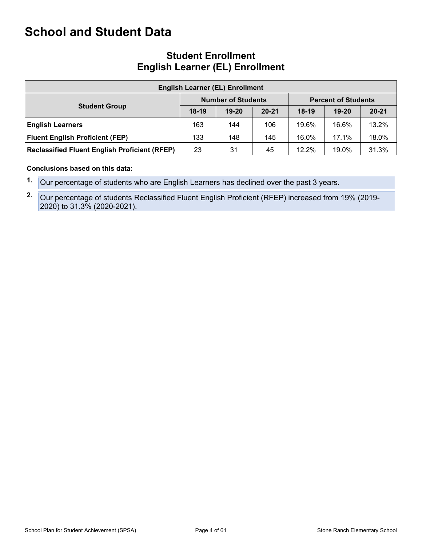## **School and Student Data**

| <b>Student Enrollment</b>              |
|----------------------------------------|
| <b>English Learner (EL) Enrollment</b> |

| <b>English Learner (EL) Enrollment</b>               |                                                         |           |           |          |           |           |  |  |  |  |
|------------------------------------------------------|---------------------------------------------------------|-----------|-----------|----------|-----------|-----------|--|--|--|--|
|                                                      | <b>Number of Students</b><br><b>Percent of Students</b> |           |           |          |           |           |  |  |  |  |
| <b>Student Group</b>                                 | $18-19$                                                 | $19 - 20$ | $20 - 21$ | $18-19$  | $19 - 20$ | $20 - 21$ |  |  |  |  |
| <b>English Learners</b>                              | 163                                                     | 144       | 106       | 19.6%    | 16.6%     | 13.2%     |  |  |  |  |
| <b>Fluent English Proficient (FEP)</b>               | 133                                                     | 148       | 145       | 16.0%    | 17.1%     | 18.0%     |  |  |  |  |
| <b>Reclassified Fluent English Proficient (RFEP)</b> | 23                                                      | 31        | 45        | $12.2\%$ | 19.0%     | 31.3%     |  |  |  |  |

**Conclusions based on this data:**

**1.** Our percentage of students who are English Learners has declined over the past 3 years.

**2.** Our percentage of students Reclassified Fluent English Proficient (RFEP) increased from 19% (2019-2020) to 31.3% (2020-2021).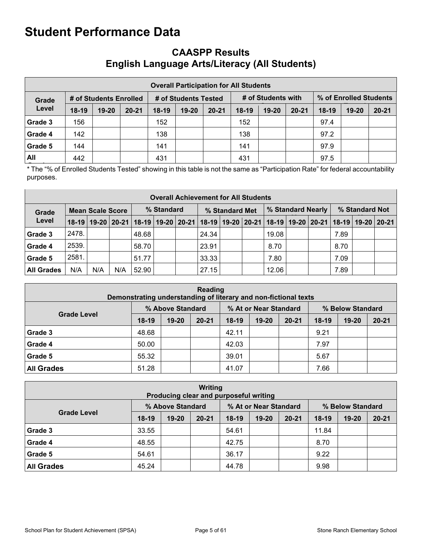## **CAASPP Results English Language Arts/Literacy (All Students)**

|                                                                                                         | <b>Overall Participation for All Students</b> |           |           |         |           |           |         |           |           |         |       |           |  |
|---------------------------------------------------------------------------------------------------------|-----------------------------------------------|-----------|-----------|---------|-----------|-----------|---------|-----------|-----------|---------|-------|-----------|--|
| # of Students with<br>% of Enrolled Students<br># of Students Enrolled<br># of Students Tested<br>Grade |                                               |           |           |         |           |           |         |           |           |         |       |           |  |
| Level                                                                                                   | $18-19$                                       | $19 - 20$ | $20 - 21$ | $18-19$ | $19 - 20$ | $20 - 21$ | $18-19$ | $19 - 20$ | $20 - 21$ | $18-19$ | 19-20 | $20 - 21$ |  |
| Grade 3                                                                                                 | 156                                           |           |           | 152     |           |           | 152     |           |           | 97.4    |       |           |  |
| Grade 4                                                                                                 | 142                                           |           |           | 138     |           |           | 138     |           |           | 97.2    |       |           |  |
| Grade 5                                                                                                 | 144                                           |           |           | 141     |           |           | 141     |           |           | 97.9    |       |           |  |
| All                                                                                                     | 442                                           |           |           | 431     |           |           | 431     |           |           | 97.5    |       |           |  |

\* The "% of Enrolled Students Tested" showing in this table is not the same as "Participation Rate" for federal accountability purposes.

|                   | <b>Overall Achievement for All Students</b> |     |            |       |                |  |                                                                                                                       |  |                   |       |  |                |      |  |  |
|-------------------|---------------------------------------------|-----|------------|-------|----------------|--|-----------------------------------------------------------------------------------------------------------------------|--|-------------------|-------|--|----------------|------|--|--|
| Grade             | <b>Mean Scale Score</b>                     |     | % Standard |       | % Standard Met |  |                                                                                                                       |  | % Standard Nearly |       |  | % Standard Not |      |  |  |
| Level             |                                             |     |            |       |                |  | 18-19   19-20   20-21   18-19   19-20   20-21   18-19   19-20   20-21   18-19   19-20   20-21   18-19   19-20   20-21 |  |                   |       |  |                |      |  |  |
| Grade 3           | 2478.                                       |     |            | 48.68 |                |  | 24.34                                                                                                                 |  |                   | 19.08 |  |                | 7.89 |  |  |
| Grade 4           | 2539.                                       |     |            | 58.70 |                |  | 23.91                                                                                                                 |  |                   | 8.70  |  |                | 8.70 |  |  |
| Grade 5           | 2581.                                       |     |            | 51.77 |                |  | 33.33                                                                                                                 |  |                   | 7.80  |  |                | 7.09 |  |  |
| <b>All Grades</b> | N/A                                         | N/A | N/A        | 52.90 |                |  | 27.15                                                                                                                 |  |                   | 12.06 |  |                | 7.89 |  |  |

| <b>Reading</b><br>Demonstrating understanding of literary and non-fictional texts |                                                                                                              |  |  |       |  |  |      |  |  |  |  |
|-----------------------------------------------------------------------------------|--------------------------------------------------------------------------------------------------------------|--|--|-------|--|--|------|--|--|--|--|
| % Above Standard<br>% At or Near Standard<br>% Below Standard                     |                                                                                                              |  |  |       |  |  |      |  |  |  |  |
|                                                                                   | <b>Grade Level</b><br>$18-19$<br>$20 - 21$<br>$20 - 21$<br>19-20<br>18-19<br>$19 - 20$<br>18-19<br>$19 - 20$ |  |  |       |  |  |      |  |  |  |  |
| Grade 3                                                                           | 48.68                                                                                                        |  |  | 42.11 |  |  | 9.21 |  |  |  |  |
| Grade 4                                                                           | 50.00                                                                                                        |  |  | 42.03 |  |  | 7.97 |  |  |  |  |
| Grade 5                                                                           | 55.32                                                                                                        |  |  | 39.01 |  |  | 5.67 |  |  |  |  |
| <b>All Grades</b>                                                                 | 51.28                                                                                                        |  |  | 41.07 |  |  | 7.66 |  |  |  |  |

| <b>Writing</b><br>Producing clear and purposeful writing      |         |           |           |         |       |           |         |           |           |  |  |
|---------------------------------------------------------------|---------|-----------|-----------|---------|-------|-----------|---------|-----------|-----------|--|--|
| % At or Near Standard<br>% Above Standard<br>% Below Standard |         |           |           |         |       |           |         |           |           |  |  |
| <b>Grade Level</b>                                            | $18-19$ | $19 - 20$ | $20 - 21$ | $18-19$ | 19-20 | $20 - 21$ | $18-19$ | $19 - 20$ | $20 - 21$ |  |  |
| Grade 3                                                       | 33.55   |           |           | 54.61   |       |           | 11.84   |           |           |  |  |
| Grade 4                                                       | 48.55   |           |           | 42.75   |       |           | 8.70    |           |           |  |  |
| Grade 5                                                       | 54.61   |           |           | 36.17   |       |           | 9.22    |           |           |  |  |
| <b>All Grades</b>                                             | 45.24   |           |           | 44.78   |       |           | 9.98    |           |           |  |  |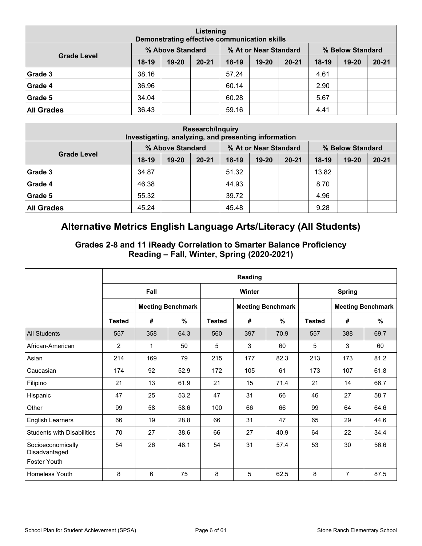| Listening<br>Demonstrating effective communication skills     |         |       |           |       |       |           |         |           |           |  |
|---------------------------------------------------------------|---------|-------|-----------|-------|-------|-----------|---------|-----------|-----------|--|
| % At or Near Standard<br>% Above Standard<br>% Below Standard |         |       |           |       |       |           |         |           |           |  |
| <b>Grade Level</b>                                            | $18-19$ | 19-20 | $20 - 21$ | 18-19 | 19-20 | $20 - 21$ | $18-19$ | $19 - 20$ | $20 - 21$ |  |
| Grade 3                                                       | 38.16   |       |           | 57.24 |       |           | 4.61    |           |           |  |
| Grade 4                                                       | 36.96   |       |           | 60.14 |       |           | 2.90    |           |           |  |
| Grade 5                                                       | 34.04   |       |           | 60.28 |       |           | 5.67    |           |           |  |
| <b>All Grades</b>                                             | 36.43   |       |           | 59.16 |       |           | 4.41    |           |           |  |

| <b>Research/Inquiry</b><br>Investigating, analyzing, and presenting information |                                                                                                |  |  |       |  |  |       |  |  |  |  |
|---------------------------------------------------------------------------------|------------------------------------------------------------------------------------------------|--|--|-------|--|--|-------|--|--|--|--|
| % Above Standard<br>% At or Near Standard<br>% Below Standard                   |                                                                                                |  |  |       |  |  |       |  |  |  |  |
| <b>Grade Level</b>                                                              | $18-19$<br>$20 - 21$<br>$19 - 20$<br>$18-19$<br>$19 - 20$<br>$20 - 21$<br>$18-19$<br>$19 - 20$ |  |  |       |  |  |       |  |  |  |  |
| Grade 3                                                                         | 34.87                                                                                          |  |  | 51.32 |  |  | 13.82 |  |  |  |  |
| Grade 4                                                                         | 46.38                                                                                          |  |  | 44.93 |  |  | 8.70  |  |  |  |  |
| Grade 5                                                                         | 55.32                                                                                          |  |  | 39.72 |  |  | 4.96  |  |  |  |  |
| <b>All Grades</b>                                                               | 45.24                                                                                          |  |  | 45.48 |  |  | 9.28  |  |  |  |  |

## **Alternative Metrics English Language Arts/Literacy (All Students)**

### **Grades 2-8 and 11 iReady Correlation to Smarter Balance Proficiency Reading – Fall, Winter, Spring (2020-2021)**

|                                    |                |      |                          |               | Reading |                          |               |               |                          |
|------------------------------------|----------------|------|--------------------------|---------------|---------|--------------------------|---------------|---------------|--------------------------|
|                                    |                | Fall |                          |               | Winter  |                          |               | <b>Spring</b> |                          |
|                                    |                |      | <b>Meeting Benchmark</b> |               |         | <b>Meeting Benchmark</b> |               |               | <b>Meeting Benchmark</b> |
|                                    | <b>Tested</b>  | #    | %                        | <b>Tested</b> | #       | %                        | <b>Tested</b> | #             | %                        |
| <b>All Students</b>                | 557            | 358  | 64.3                     | 560           | 397     | 70.9                     | 557           | 388           | 69.7                     |
| African-American                   | $\overline{2}$ | 1    | 50                       | 5             | 3       | 60                       | 5             | 3             | 60                       |
| Asian                              | 214            | 169  | 79                       | 215           | 177     | 82.3                     | 213           | 173           | 81.2                     |
| Caucasian                          | 174            | 92   | 52.9                     | 172           | 105     | 61                       | 173           | 107           | 61.8                     |
| Filipino                           | 21             | 13   | 61.9                     | 21            | 15      | 71.4                     | 21            | 14            | 66.7                     |
| Hispanic                           | 47             | 25   | 53.2                     | 47            | 31      | 66                       | 46            | 27            | 58.7                     |
| Other                              | 99             | 58   | 58.6                     | 100           | 66      | 66                       | 99            | 64            | 64.6                     |
| <b>English Learners</b>            | 66             | 19   | 28.8                     | 66            | 31      | 47                       | 65            | 29            | 44.6                     |
| <b>Students with Disabilities</b>  | 70             | 27   | 38.6                     | 66            | 27      | 40.9                     | 64            | 22            | 34.4                     |
| Socioeconomically<br>Disadvantaged | 54             | 26   | 48.1                     | 54            | 31      | 57.4                     | 53            | 30            | 56.6                     |
| <b>Foster Youth</b>                |                |      |                          |               |         |                          |               |               |                          |
| Homeless Youth                     | 8              | 6    | 75                       | 8             | 5       | 62.5                     | 8             | 7             | 87.5                     |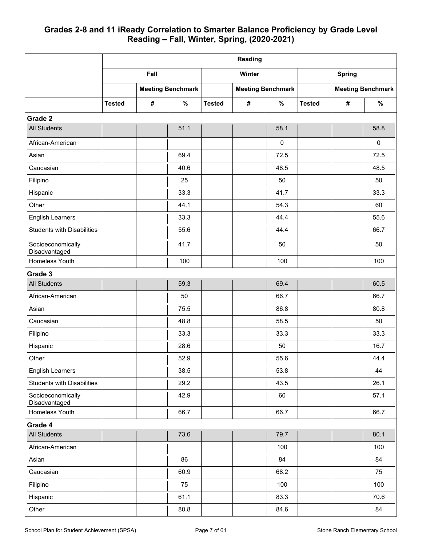### **Grades 2-8 and 11 iReady Correlation to Smarter Balance Proficiency by Grade Level Reading – Fall, Winter, Spring, (2020-2021)**

|                                    |               |            |                          |               | Reading |                          |               |               |                          |
|------------------------------------|---------------|------------|--------------------------|---------------|---------|--------------------------|---------------|---------------|--------------------------|
|                                    |               | Fall       |                          |               | Winter  |                          |               | <b>Spring</b> |                          |
|                                    |               |            | <b>Meeting Benchmark</b> |               |         | <b>Meeting Benchmark</b> |               |               | <b>Meeting Benchmark</b> |
|                                    | <b>Tested</b> | $\pmb{\#}$ | $\%$                     | <b>Tested</b> | #       | $\%$                     | <b>Tested</b> | #             | $\%$                     |
| Grade 2                            |               |            |                          |               |         |                          |               |               |                          |
| <b>All Students</b>                |               |            | 51.1                     |               |         | 58.1                     |               |               | 58.8                     |
| African-American                   |               |            |                          |               |         | $\pmb{0}$                |               |               | $\pmb{0}$                |
| Asian                              |               |            | 69.4                     |               |         | 72.5                     |               |               | 72.5                     |
| Caucasian                          |               |            | 40.6                     |               |         | 48.5                     |               |               | 48.5                     |
| Filipino                           |               |            | 25                       |               |         | 50                       |               |               | 50                       |
| Hispanic                           |               |            | 33.3                     |               |         | 41.7                     |               |               | 33.3                     |
| Other                              |               |            | 44.1                     |               |         | 54.3                     |               |               | 60                       |
| <b>English Learners</b>            |               |            | 33.3                     |               |         | 44.4                     |               |               | 55.6                     |
| <b>Students with Disabilities</b>  |               |            | 55.6                     |               |         | 44.4                     |               |               | 66.7                     |
| Socioeconomically<br>Disadvantaged |               |            | 41.7                     |               |         | 50                       |               |               | 50                       |
| Homeless Youth                     |               |            | 100                      |               |         | 100                      |               |               | 100                      |
| Grade 3                            |               |            |                          |               |         |                          |               |               |                          |
| <b>All Students</b>                |               |            | 59.3                     |               |         | 69.4                     |               |               | 60.5                     |
| African-American                   |               |            | 50                       |               |         | 66.7                     |               |               | 66.7                     |
| Asian                              |               |            | 75.5                     |               |         | 86.8                     |               |               | 80.8                     |
| Caucasian                          |               |            | 48.8                     |               |         | 58.5                     |               |               | 50                       |
| Filipino                           |               |            | 33.3                     |               |         | 33.3                     |               |               | 33.3                     |
| Hispanic                           |               |            | 28.6                     |               |         | 50                       |               |               | 16.7                     |
| Other                              |               |            | 52.9                     |               |         | 55.6                     |               |               | 44.4                     |
| <b>English Learners</b>            |               |            | 38.5                     |               |         | 53.8                     |               |               | 44                       |
| <b>Students with Disabilities</b>  |               |            | 29.2                     |               |         | 43.5                     |               |               | 26.1                     |
| Socioeconomically<br>Disadvantaged |               |            | 42.9                     |               |         | 60                       |               |               | 57.1                     |
| Homeless Youth                     |               |            | 66.7                     |               |         | 66.7                     |               |               | 66.7                     |
| Grade 4                            |               |            |                          |               |         |                          |               |               |                          |
| <b>All Students</b>                |               |            | 73.6                     |               |         | 79.7                     |               |               | 80.1                     |
| African-American                   |               |            |                          |               |         | 100                      |               |               | 100                      |
| Asian                              |               |            | 86                       |               |         | 84                       |               |               | 84                       |
| Caucasian                          |               |            | 60.9                     |               |         | 68.2                     |               |               | 75                       |
| Filipino                           |               |            | 75                       |               |         | 100                      |               |               | 100                      |
| Hispanic                           |               |            | 61.1                     |               |         | 83.3                     |               |               | 70.6                     |
| Other                              |               |            | 80.8                     |               |         | 84.6                     |               |               | 84                       |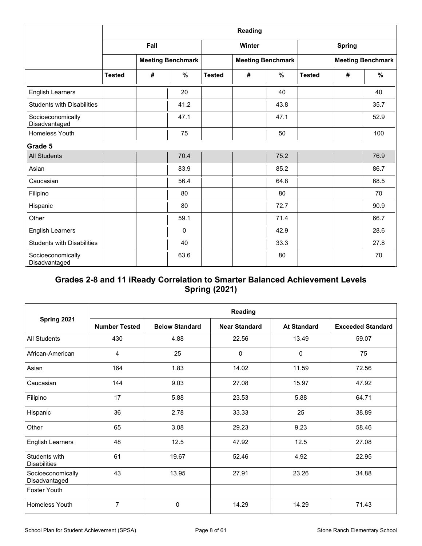|                                    |               |      |                          |               | Reading |                          |               |               |                          |
|------------------------------------|---------------|------|--------------------------|---------------|---------|--------------------------|---------------|---------------|--------------------------|
|                                    |               | Fall |                          |               | Winter  |                          |               | <b>Spring</b> |                          |
|                                    |               |      | <b>Meeting Benchmark</b> |               |         | <b>Meeting Benchmark</b> |               |               | <b>Meeting Benchmark</b> |
|                                    | <b>Tested</b> | #    | %                        | <b>Tested</b> | #       | %                        | <b>Tested</b> | #             | %                        |
| <b>English Learners</b>            |               |      | 20                       |               |         | 40                       |               |               | 40                       |
| <b>Students with Disabilities</b>  |               |      | 41.2                     |               |         | 43.8                     |               |               | 35.7                     |
| Socioeconomically<br>Disadvantaged |               |      | 47.1                     |               |         | 47.1                     |               |               | 52.9                     |
| <b>Homeless Youth</b>              |               |      | 75                       |               |         | 50                       |               |               | 100                      |
| Grade 5                            |               |      |                          |               |         |                          |               |               |                          |
| <b>All Students</b>                |               |      | 70.4                     |               |         | 75.2                     |               |               | 76.9                     |
| Asian                              |               |      | 83.9                     |               |         | 85.2                     |               |               | 86.7                     |
| Caucasian                          |               |      | 56.4                     |               |         | 64.8                     |               |               | 68.5                     |
| Filipino                           |               |      | 80                       |               |         | 80                       |               |               | 70                       |
| Hispanic                           |               |      | 80                       |               |         | 72.7                     |               |               | 90.9                     |
| Other                              |               |      | 59.1                     |               |         | 71.4                     |               |               | 66.7                     |
| <b>English Learners</b>            |               |      | $\Omega$                 |               |         | 42.9                     |               |               | 28.6                     |
| <b>Students with Disabilities</b>  |               |      | 40                       |               |         | 33.3                     |               |               | 27.8                     |
| Socioeconomically<br>Disadvantaged |               |      | 63.6                     |               |         | 80                       |               |               | 70                       |

### **Grades 2-8 and 11 iReady Correlation to Smarter Balanced Achievement Levels Spring (2021)**

|                                      |                      |                       | Reading              |                    |                          |
|--------------------------------------|----------------------|-----------------------|----------------------|--------------------|--------------------------|
| Spring 2021                          | <b>Number Tested</b> | <b>Below Standard</b> | <b>Near Standard</b> | <b>At Standard</b> | <b>Exceeded Standard</b> |
| All Students                         | 430                  | 4.88                  | 22.56                | 13.49              | 59.07                    |
| African-American                     | 4                    | 25                    | 0                    | 0                  | 75                       |
| Asian                                | 164                  | 1.83                  | 14.02                | 11.59              | 72.56                    |
| Caucasian                            | 144                  | 9.03                  | 27.08                | 15.97              | 47.92                    |
| Filipino                             | 17                   | 5.88                  | 23.53                | 5.88               | 64.71                    |
| Hispanic                             | 36                   | 2.78                  | 33.33                | 25                 | 38.89                    |
| Other                                | 65                   | 3.08                  | 29.23                | 9.23               | 58.46                    |
| <b>English Learners</b>              | 48                   | 12.5                  | 47.92                | 12.5               | 27.08                    |
| Students with<br><b>Disabilities</b> | 61                   | 19.67                 | 52.46                | 4.92               | 22.95                    |
| Socioeconomically<br>Disadvantaged   | 43                   | 13.95                 | 27.91                | 23.26              | 34.88                    |
| <b>Foster Youth</b>                  |                      |                       |                      |                    |                          |
| <b>Homeless Youth</b>                | $\overline{7}$       | 0                     | 14.29                | 14.29              | 71.43                    |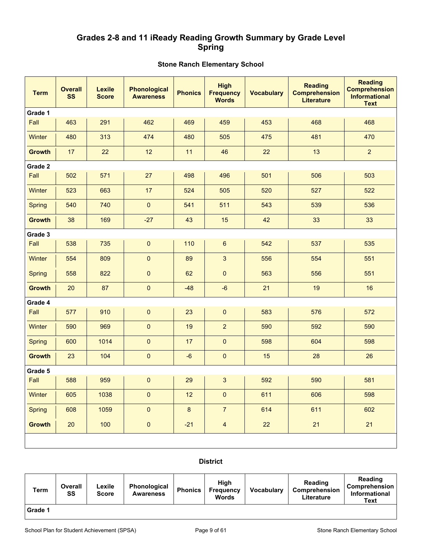### **Grades 2-8 and 11 iReady Reading Growth Summary by Grade Level Spring**

#### **Stone Ranch Elementary School**

| <b>Term</b>   | <b>Overall</b><br><b>SS</b> | <b>Lexile</b><br><b>Score</b> | <b>Phonological</b><br><b>Awareness</b> | <b>Phonics</b> | <b>High</b><br><b>Frequency</b><br><b>Words</b> | <b>Vocabulary</b> | <b>Reading</b><br><b>Comprehension</b><br><b>Literature</b> | <b>Reading</b><br><b>Comprehension</b><br><b>Informational</b><br><b>Text</b> |
|---------------|-----------------------------|-------------------------------|-----------------------------------------|----------------|-------------------------------------------------|-------------------|-------------------------------------------------------------|-------------------------------------------------------------------------------|
| Grade 1       |                             |                               |                                         |                |                                                 |                   |                                                             |                                                                               |
| Fall          | 463                         | 291                           | 462                                     | 469            | 459                                             | 453               | 468                                                         | 468                                                                           |
| Winter        | 480                         | 313                           | 474                                     | 480            | 505                                             | 475               | 481                                                         | 470                                                                           |
| <b>Growth</b> | 17                          | 22                            | 12                                      | 11             | 46                                              | 22                | 13                                                          | $\overline{2}$                                                                |
| Grade 2       |                             |                               |                                         |                |                                                 |                   |                                                             |                                                                               |
| Fall          | 502                         | 571                           | 27                                      | 498            | 496                                             | 501               | 506                                                         | 503                                                                           |
| <b>Winter</b> | 523                         | 663                           | 17                                      | 524            | 505                                             | 520               | 527                                                         | 522                                                                           |
| <b>Spring</b> | 540                         | 740                           | $\pmb{0}$                               | 541            | 511                                             | 543               | 539                                                         | 536                                                                           |
| <b>Growth</b> | 38                          | 169                           | $-27$                                   | 43             | 15                                              | 42                | 33                                                          | 33                                                                            |
| Grade 3       |                             |                               |                                         |                |                                                 |                   |                                                             |                                                                               |
| Fall          | 538                         | 735                           | $\pmb{0}$                               | 110            | $\boldsymbol{6}$                                | 542               | 537                                                         | 535                                                                           |
| Winter        | 554                         | 809                           | $\mathbf 0$                             | 89             | $\mathbf{3}$                                    | 556               | 554                                                         | 551                                                                           |
| <b>Spring</b> | 558                         | 822                           | $\pmb{0}$                               | 62             | $\pmb{0}$                                       | 563               | 556                                                         | 551                                                                           |
| <b>Growth</b> | 20                          | 87                            | $\pmb{0}$                               | $-48$          | $-6$                                            | 21                | 19                                                          | 16                                                                            |
| Grade 4       |                             |                               |                                         |                |                                                 |                   |                                                             |                                                                               |
| Fall          | 577                         | 910                           | 0                                       | 23             | $\pmb{0}$                                       | 583               | 576                                                         | 572                                                                           |
| Winter        | 590                         | 969                           | $\mathbf 0$                             | 19             | $\overline{2}$                                  | 590               | 592                                                         | 590                                                                           |
| <b>Spring</b> | 600                         | 1014                          | $\pmb{0}$                               | 17             | $\pmb{0}$                                       | 598               | 604                                                         | 598                                                                           |
| <b>Growth</b> | 23                          | 104                           | $\pmb{0}$                               | $-6$           | $\pmb{0}$                                       | 15                | 28                                                          | 26                                                                            |
| Grade 5       |                             |                               |                                         |                |                                                 |                   |                                                             |                                                                               |
| Fall          | 588                         | 959                           | 0                                       | 29             | $\mathbf{3}$                                    | 592               | 590                                                         | 581                                                                           |
| Winter        | 605                         | 1038                          | $\pmb{0}$                               | 12             | $\pmb{0}$                                       | 611               | 606                                                         | 598                                                                           |
| <b>Spring</b> | 608                         | 1059                          | $\pmb{0}$                               | $\bf{8}$       | $\overline{7}$                                  | 614               | 611                                                         | 602                                                                           |
| <b>Growth</b> | 20                          | 100                           | $\pmb{0}$                               | $-21$          | $\overline{4}$                                  | 22                | 21                                                          | 21                                                                            |
|               |                             |                               |                                         |                |                                                 |                   |                                                             |                                                                               |

#### **District**

| Term    | Overall<br>SS | ∟exile<br><b>Score</b> | <b>Phonological</b><br><b>Awareness</b> | <b>Phonics</b> | Hiah<br><b>Frequency</b><br><b>Words</b> | <b>Vocabulary</b> | Reading<br><b>Comprehension</b><br>Literature | Reading<br><b>Comprehension</b><br><b>Informational</b><br>Text |
|---------|---------------|------------------------|-----------------------------------------|----------------|------------------------------------------|-------------------|-----------------------------------------------|-----------------------------------------------------------------|
| Grade 1 |               |                        |                                         |                |                                          |                   |                                               |                                                                 |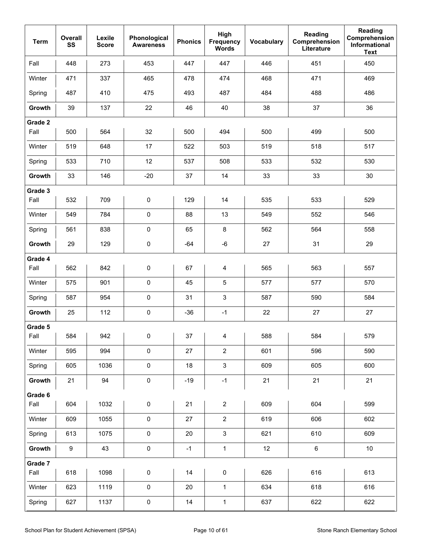| <b>Term</b>     | Overall<br>SS    | Lexile<br><b>Score</b> | Phonological<br><b>Awareness</b> | <b>Phonics</b>                                                       | High<br>Frequency<br><b>Words</b> | Vocabulary                                                                                                                                                                                                                            | Reading<br>Comprehension<br>Literature | <b>Reading</b><br>Comprehension<br>Informational<br><b>Text</b> |
|-----------------|------------------|------------------------|----------------------------------|----------------------------------------------------------------------|-----------------------------------|---------------------------------------------------------------------------------------------------------------------------------------------------------------------------------------------------------------------------------------|----------------------------------------|-----------------------------------------------------------------|
| Fall            | 448              | 273                    | 453                              | 447                                                                  | 447                               | 446                                                                                                                                                                                                                                   | 451                                    | 450                                                             |
| Winter          | 471              | 337                    | 465                              | 478                                                                  | 474                               | 468                                                                                                                                                                                                                                   | 471                                    | 469                                                             |
| Spring          | 487              | 410                    | 475                              | 493                                                                  | 487                               | 484                                                                                                                                                                                                                                   | 488                                    | 486                                                             |
| Growth          | 39               | 137                    | 22                               | 46                                                                   | 40                                | 38                                                                                                                                                                                                                                    | 37                                     | 36                                                              |
| Grade 2<br>Fall | 500              | 564                    | 32                               | 500                                                                  | 494                               | 500                                                                                                                                                                                                                                   | 499                                    | 500                                                             |
| Winter          | 519              | 648                    | 17                               | 522                                                                  | 503                               | 519                                                                                                                                                                                                                                   | 518                                    | 517                                                             |
| Spring          | 533              | 710                    | 12                               | 537                                                                  | 508                               | 533                                                                                                                                                                                                                                   | 532                                    | 530                                                             |
| Growth          | 33               | 146                    | $-20$                            | 37                                                                   | 14                                | 33                                                                                                                                                                                                                                    | 33                                     | 30                                                              |
| Grade 3         |                  |                        |                                  |                                                                      |                                   |                                                                                                                                                                                                                                       |                                        |                                                                 |
| Fall            | 532              | 709                    | 0                                | 129                                                                  | 14                                | 535                                                                                                                                                                                                                                   | 533                                    | 529                                                             |
| Winter          | 549              | 784                    | $\pmb{0}$                        | 88                                                                   | 13                                | 549                                                                                                                                                                                                                                   | 552                                    | 546                                                             |
| Spring          | 561              | 838                    | $\pmb{0}$                        | 65                                                                   | 8                                 | 562                                                                                                                                                                                                                                   | 564                                    | 558                                                             |
| Growth          | 29               | 129                    | $\pmb{0}$                        | $-64$                                                                | $-6$                              | 27                                                                                                                                                                                                                                    | 31                                     | 29                                                              |
| Grade 4         |                  |                        |                                  |                                                                      |                                   |                                                                                                                                                                                                                                       |                                        |                                                                 |
| Fall            | 562              | 842                    | $\pmb{0}$                        | 67                                                                   | 4                                 | 565                                                                                                                                                                                                                                   | 563                                    | 557                                                             |
| Winter          | 575              | 901                    | $\pmb{0}$                        | 45                                                                   | $\sqrt{5}$                        | 577                                                                                                                                                                                                                                   | 577                                    | 570                                                             |
| Spring          | 587              | 954                    | $\pmb{0}$                        | 31                                                                   | 3                                 | 587                                                                                                                                                                                                                                   | 590                                    | 584                                                             |
| Growth          | 25               | 112                    | $\pmb{0}$                        | $-36$                                                                | $-1$                              | 22                                                                                                                                                                                                                                    | 27                                     | 27                                                              |
| Grade 5<br>Fall | 584              | 942                    | $\mathbf{L}$<br>$\mathbf{0}$     | $\begin{array}{ccc} \end{array}$ 37 $\begin{array}{ccc} \end{array}$ | $\overline{4}$                    | and the second series of the series of the series of the series of the series of the series of the series of the series of the series of the series of the series of the series of the series of the series of the series of t<br>588 | $\mathbf{H}$<br>584                    | 579                                                             |
| Winter          | 595              | 994                    | $\pmb{0}$                        | 27                                                                   | $\overline{2}$                    | 601                                                                                                                                                                                                                                   | 596                                    | 590                                                             |
| Spring          | 605              | 1036                   | $\pmb{0}$                        | 18                                                                   | $\ensuremath{\mathsf{3}}$         | 609                                                                                                                                                                                                                                   | 605                                    | 600                                                             |
| Growth          | 21               | 94                     | $\pmb{0}$                        | $-19$                                                                | $-1$                              | 21                                                                                                                                                                                                                                    | 21                                     | 21                                                              |
| Grade 6         |                  |                        |                                  |                                                                      |                                   |                                                                                                                                                                                                                                       |                                        |                                                                 |
| Fall            | 604              | 1032                   | $\pmb{0}$                        | 21                                                                   | $\overline{c}$                    | 609                                                                                                                                                                                                                                   | 604                                    | 599                                                             |
| Winter          | 609              | 1055                   | $\pmb{0}$                        | 27                                                                   | $\overline{2}$                    | 619                                                                                                                                                                                                                                   | 606                                    | 602                                                             |
| Spring          | 613              | 1075                   | $\pmb{0}$                        | 20                                                                   | $\mathbf{3}$                      | 621                                                                                                                                                                                                                                   | 610                                    | 609                                                             |
| Growth          | $\boldsymbol{9}$ | 43                     | $\pmb{0}$                        | $-1$                                                                 | $\mathbf{1}$                      | 12                                                                                                                                                                                                                                    | $\,6\,$                                | $10$                                                            |
| Grade 7<br>Fall | 618              | 1098                   | $\pmb{0}$                        | 14                                                                   | $\pmb{0}$                         | 626                                                                                                                                                                                                                                   | 616                                    | 613                                                             |
| Winter          | 623              | 1119                   | $\pmb{0}$                        | 20                                                                   | $\mathbf{1}$                      | 634                                                                                                                                                                                                                                   | 618                                    | 616                                                             |
| Spring          | 627              | 1137                   | $\pmb{0}$                        | 14                                                                   | $\mathbf{1}$                      | 637                                                                                                                                                                                                                                   | 622                                    | 622                                                             |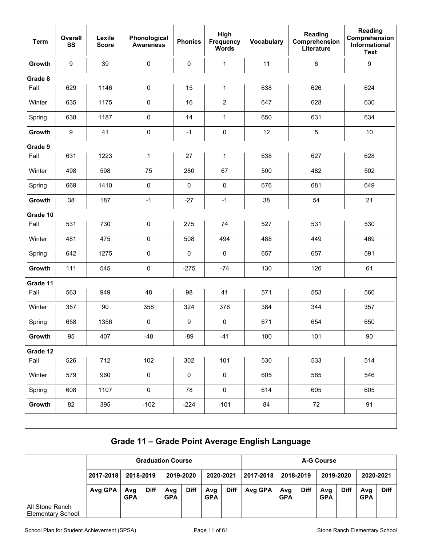| <b>Term</b> | Overall<br>SS    | Lexile<br><b>Score</b> | Phonological<br><b>Awareness</b> | <b>Phonics</b> | High<br>Frequency<br><b>Words</b> | Vocabulary | Reading<br>Comprehension<br>Literature | Reading<br>Comprehension<br>Informational<br><b>Text</b> |
|-------------|------------------|------------------------|----------------------------------|----------------|-----------------------------------|------------|----------------------------------------|----------------------------------------------------------|
| Growth      | 9                | 39                     | $\pmb{0}$                        | 0              | $\mathbf{1}$                      | 11         | $\,6\,$                                | 9                                                        |
| Grade 8     |                  |                        |                                  |                |                                   |            |                                        |                                                          |
| Fall        | 629              | 1146                   | $\pmb{0}$                        | 15             | 1                                 | 638        | 626                                    | 624                                                      |
| Winter      | 635              | 1175                   | $\mathbf 0$                      | 16             | $\overline{c}$                    | 647        | 628                                    | 630                                                      |
| Spring      | 638              | 1187                   | $\pmb{0}$                        | 14             | $\mathbf 1$                       | 650        | 631                                    | 634                                                      |
| Growth      | $\boldsymbol{9}$ | 41                     | $\pmb{0}$                        | $-1$           | $\pmb{0}$                         | 12         | $\mathbf 5$                            | 10                                                       |
| Grade 9     |                  |                        |                                  |                |                                   |            |                                        |                                                          |
| Fall        | 631              | 1223                   | $\mathbf 1$                      | 27             | 1                                 | 638        | 627                                    | 628                                                      |
| Winter      | 498              | 598                    | 75                               | 280            | 67                                | 500        | 482                                    | 502                                                      |
| Spring      | 669              | 1410                   | $\pmb{0}$                        | 0              | $\pmb{0}$                         | 676        | 681                                    | 649                                                      |
| Growth      | 38               | 187                    | $-1$                             | $-27$          | $-1$                              | 38         | 54                                     | 21                                                       |
| Grade 10    |                  |                        |                                  |                |                                   |            |                                        |                                                          |
| Fall        | 531              | 730                    | $\pmb{0}$                        | 275            | 74                                | 527        | 531                                    | 530                                                      |
| Winter      | 481              | 475                    | $\pmb{0}$                        | 508            | 494                               | 488        | 449                                    | 469                                                      |
| Spring      | 642              | 1275                   | $\pmb{0}$                        | $\pmb{0}$      | $\pmb{0}$                         | 657        | 657                                    | 591                                                      |
| Growth      | 111              | 545                    | $\pmb{0}$                        | $-275$         | $-74$                             | 130        | 126                                    | 61                                                       |
| Grade 11    |                  |                        |                                  |                |                                   |            |                                        |                                                          |
| Fall        | 563              | 949                    | 48                               | 98             | 41                                | 571        | 553                                    | 560                                                      |
| Winter      | 357              | 90                     | 358                              | 324            | 376                               | 384        | 344                                    | 357                                                      |
| Spring      | 658              | 1356                   | $\pmb{0}$                        | 9              | $\pmb{0}$                         | 671        | 654                                    | 650                                                      |
| Growth      | 95               | 407                    | $-48$                            | $-89$          | $-41$                             | 100        | 101                                    | 90                                                       |
| Grade 12    |                  |                        |                                  |                |                                   |            |                                        |                                                          |
| Fall        | 526              | 712                    | 102                              | 302            | 101                               | 530        | 533                                    | 514                                                      |
| Winter      | 579              | 960                    | $\pmb{0}$                        | $\pmb{0}$      | $\pmb{0}$                         | 605        | 585                                    | 546                                                      |
| Spring      | 608              | 1107                   | $\pmb{0}$                        | 78             | $\pmb{0}$                         | 614        | 605                                    | 605                                                      |
| Growth      | 82               | 395                    | $-102$                           | $-224$         | $-101$                            | 84         | $72\,$                                 | 91                                                       |
|             |                  |                        |                                  |                |                                   |            |                                        |                                                          |

## **Grade 11 – Grade Point Average English Language**

|                                             |           |                   |             | <b>Graduation Course</b>         |           |                   |             |               |                   |             | <b>A-G Course</b> |             |                   |             |
|---------------------------------------------|-----------|-------------------|-------------|----------------------------------|-----------|-------------------|-------------|---------------|-------------------|-------------|-------------------|-------------|-------------------|-------------|
|                                             | 2017-2018 | 2018-2019         |             |                                  | 2019-2020 | 2020-2021         |             | l 2017-2018 l |                   | 2018-2019   | 2019-2020         |             | 2020-2021         |             |
|                                             | Avg GPA   | Avg<br><b>GPA</b> | <b>Diff</b> | <b>Diff</b><br>Avg<br><b>GPA</b> |           | Avg<br><b>GPA</b> | <b>Diff</b> | Avg GPA       | Avg<br><b>GPA</b> | <b>Diff</b> | Avg<br><b>GPA</b> | <b>Diff</b> | Avg<br><b>GPA</b> | <b>Diff</b> |
| All Stone Ranch<br><b>Elementary School</b> |           |                   |             |                                  |           |                   |             |               |                   |             |                   |             |                   |             |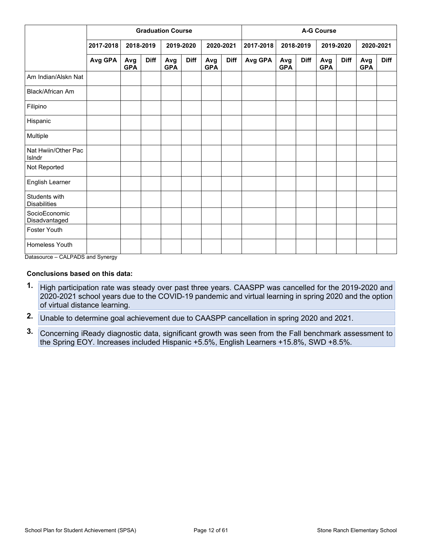|                                      |           |                   |             | <b>Graduation Course</b> |             |                   |             | <b>A-G Course</b> |                   |             |                   |             |                   |             |
|--------------------------------------|-----------|-------------------|-------------|--------------------------|-------------|-------------------|-------------|-------------------|-------------------|-------------|-------------------|-------------|-------------------|-------------|
|                                      | 2017-2018 |                   | 2018-2019   |                          | 2019-2020   |                   | 2020-2021   | 2017-2018         |                   | 2018-2019   |                   | 2019-2020   | 2020-2021         |             |
|                                      | Avg GPA   | Avg<br><b>GPA</b> | <b>Diff</b> | Avg<br><b>GPA</b>        | <b>Diff</b> | Avg<br><b>GPA</b> | <b>Diff</b> | Avg GPA           | Avg<br><b>GPA</b> | <b>Diff</b> | Avg<br><b>GPA</b> | <b>Diff</b> | Avg<br><b>GPA</b> | <b>Diff</b> |
| Am Indian/Alskn Nat                  |           |                   |             |                          |             |                   |             |                   |                   |             |                   |             |                   |             |
| <b>Black/African Am</b>              |           |                   |             |                          |             |                   |             |                   |                   |             |                   |             |                   |             |
| Filipino                             |           |                   |             |                          |             |                   |             |                   |                   |             |                   |             |                   |             |
| Hispanic                             |           |                   |             |                          |             |                   |             |                   |                   |             |                   |             |                   |             |
| Multiple                             |           |                   |             |                          |             |                   |             |                   |                   |             |                   |             |                   |             |
| Nat Hwiin/Other Pac<br>Islndr        |           |                   |             |                          |             |                   |             |                   |                   |             |                   |             |                   |             |
| Not Reported                         |           |                   |             |                          |             |                   |             |                   |                   |             |                   |             |                   |             |
| English Learner                      |           |                   |             |                          |             |                   |             |                   |                   |             |                   |             |                   |             |
| Students with<br><b>Disabilities</b> |           |                   |             |                          |             |                   |             |                   |                   |             |                   |             |                   |             |
| SocioEconomic<br>Disadvantaged       |           |                   |             |                          |             |                   |             |                   |                   |             |                   |             |                   |             |
| Foster Youth                         |           |                   |             |                          |             |                   |             |                   |                   |             |                   |             |                   |             |
| Homeless Youth                       |           |                   |             |                          |             |                   |             |                   |                   |             |                   |             |                   |             |

Datasource – CALPADS and Synergy

#### **Conclusions based on this data:**

- **1.** High participation rate was steady over past three years. CAASPP was cancelled for the 2019-2020 and 2020-2021 school years due to the COVID-19 pandemic and virtual learning in spring 2020 and the option of virtual distance learning.
- **2.** Unable to determine goal achievement due to CAASPP cancellation in spring 2020 and 2021.
- **3.** Concerning iReady diagnostic data, significant growth was seen from the Fall benchmark assessment to the Spring EOY. Increases included Hispanic +5.5%, English Learners +15.8%, SWD +8.5%.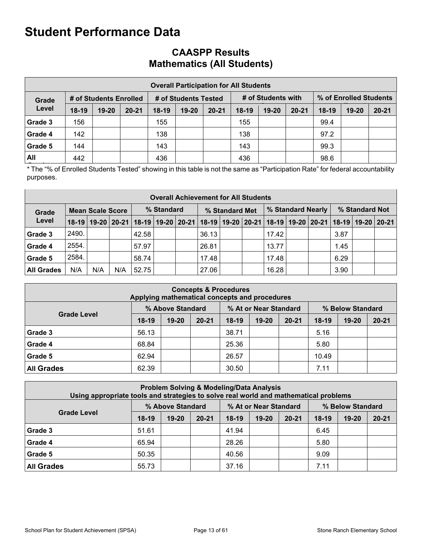## **CAASPP Results Mathematics (All Students)**

|         | <b>Overall Participation for All Students</b> |                        |           |         |                      |           |         |                    |           |         |                        |           |  |  |  |
|---------|-----------------------------------------------|------------------------|-----------|---------|----------------------|-----------|---------|--------------------|-----------|---------|------------------------|-----------|--|--|--|
| Grade   |                                               | # of Students Enrolled |           |         | # of Students Tested |           |         | # of Students with |           |         | % of Enrolled Students |           |  |  |  |
| Level   | $18-19$                                       | $19 - 20$              | $20 - 21$ | $18-19$ | $19 - 20$            | $20 - 21$ | $18-19$ | $19-20$            | $20 - 21$ | $18-19$ | $19 - 20$              | $20 - 21$ |  |  |  |
| Grade 3 | 156                                           |                        |           | 155     |                      |           | 155     |                    |           | 99.4    |                        |           |  |  |  |
| Grade 4 | 142                                           |                        |           | 138     |                      |           | 138     |                    |           | 97.2    |                        |           |  |  |  |
| Grade 5 | 144                                           |                        |           | 143     |                      |           | 143     |                    |           | 99.3    |                        |           |  |  |  |
| All     | 442                                           |                        |           | 436     |                      |           | 436     |                    |           | 98.6    |                        |           |  |  |  |

\* The "% of Enrolled Students Tested" showing in this table is not the same as "Participation Rate" for federal accountability purposes.

|                   | <b>Overall Achievement for All Students</b> |     |     |                                                                                                                       |  |            |                |  |  |       |  |                   |                |  |  |
|-------------------|---------------------------------------------|-----|-----|-----------------------------------------------------------------------------------------------------------------------|--|------------|----------------|--|--|-------|--|-------------------|----------------|--|--|
| Grade             | <b>Mean Scale Score</b>                     |     |     |                                                                                                                       |  | % Standard | % Standard Met |  |  |       |  | % Standard Nearly | % Standard Not |  |  |
| Level             |                                             |     |     | 18-19   19-20   20-21   18-19   19-20   20-21   18-19   19-20   20-21   18-19   19-20   20-21   18-19   19-20   20-21 |  |            |                |  |  |       |  |                   |                |  |  |
| <b>Grade 3</b>    | 2490.                                       |     |     | 42.58                                                                                                                 |  |            | 36.13          |  |  | 17.42 |  |                   | 3.87           |  |  |
| <b>Grade 4</b>    | 2554.                                       |     |     | 57.97                                                                                                                 |  |            | 26.81          |  |  | 13.77 |  |                   | 1.45           |  |  |
| <b>Grade 5</b>    | 2584.                                       |     |     | 58.74                                                                                                                 |  |            | 17.48          |  |  | 17.48 |  |                   | 6.29           |  |  |
| <b>All Grades</b> | N/A                                         | N/A | N/A | 52.75                                                                                                                 |  |            | 27.06          |  |  | 16.28 |  |                   | 3.90           |  |  |

| <b>Concepts &amp; Procedures</b><br>Applying mathematical concepts and procedures   |         |           |           |         |           |           |         |           |           |  |  |  |  |  |
|-------------------------------------------------------------------------------------|---------|-----------|-----------|---------|-----------|-----------|---------|-----------|-----------|--|--|--|--|--|
| % At or Near Standard<br>% Above Standard<br>% Below Standard<br><b>Grade Level</b> |         |           |           |         |           |           |         |           |           |  |  |  |  |  |
|                                                                                     | $18-19$ | $19 - 20$ | $20 - 21$ | $18-19$ | $19 - 20$ | $20 - 21$ | $18-19$ | $19 - 20$ | $20 - 21$ |  |  |  |  |  |
| Grade 3                                                                             | 56.13   |           |           | 38.71   |           |           | 5.16    |           |           |  |  |  |  |  |
| Grade 4                                                                             | 68.84   |           |           | 25.36   |           |           | 5.80    |           |           |  |  |  |  |  |
| Grade 5                                                                             | 62.94   |           |           | 26.57   |           |           | 10.49   |           |           |  |  |  |  |  |
| <b>All Grades</b>                                                                   | 62.39   |           |           | 30.50   |           |           | 7.11    |           |           |  |  |  |  |  |

|                    | <b>Problem Solving &amp; Modeling/Data Analysis</b><br>Using appropriate tools and strategies to solve real world and mathematical problems |                  |           |         |                       |           |                  |           |           |  |  |  |  |
|--------------------|---------------------------------------------------------------------------------------------------------------------------------------------|------------------|-----------|---------|-----------------------|-----------|------------------|-----------|-----------|--|--|--|--|
|                    |                                                                                                                                             | % Above Standard |           |         | % At or Near Standard |           | % Below Standard |           |           |  |  |  |  |
| <b>Grade Level</b> | $18-19$                                                                                                                                     | $19 - 20$        | $20 - 21$ | $18-19$ | $19 - 20$             | $20 - 21$ | $18-19$          | $19 - 20$ | $20 - 21$ |  |  |  |  |
| Grade 3            | 51.61                                                                                                                                       |                  |           | 41.94   |                       |           | 6.45             |           |           |  |  |  |  |
| Grade 4            | 65.94                                                                                                                                       |                  |           | 28.26   |                       |           | 5.80             |           |           |  |  |  |  |
| Grade 5            | 50.35                                                                                                                                       |                  |           | 40.56   |                       |           | 9.09             |           |           |  |  |  |  |
| <b>All Grades</b>  | 55.73                                                                                                                                       |                  |           | 37.16   |                       |           | 7.11             |           |           |  |  |  |  |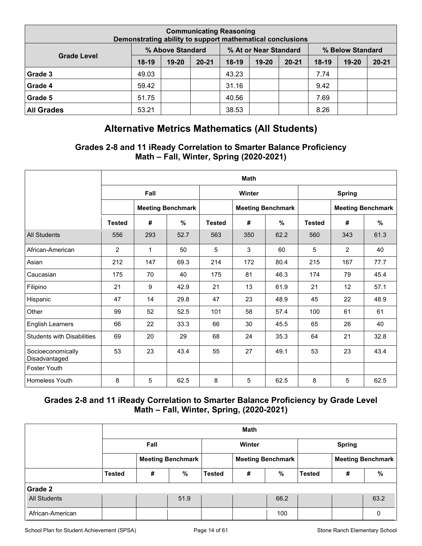|                    | <b>Communicating Reasoning</b><br>Demonstrating ability to support mathematical conclusions |                  |           |         |                       |           |                  |           |           |  |  |  |  |
|--------------------|---------------------------------------------------------------------------------------------|------------------|-----------|---------|-----------------------|-----------|------------------|-----------|-----------|--|--|--|--|
| <b>Grade Level</b> |                                                                                             | % Above Standard |           |         | % At or Near Standard |           | % Below Standard |           |           |  |  |  |  |
|                    | $18-19$                                                                                     | $19 - 20$        | $20 - 21$ | $18-19$ | $19 - 20$             | $20 - 21$ | $18-19$          | $19 - 20$ | $20 - 21$ |  |  |  |  |
| Grade 3            | 49.03                                                                                       |                  |           | 43.23   |                       |           | 7.74             |           |           |  |  |  |  |
| Grade 4            | 59.42                                                                                       |                  |           | 31.16   |                       |           | 9.42             |           |           |  |  |  |  |
| Grade 5            | 51.75                                                                                       |                  |           | 40.56   |                       |           | 7.69             |           |           |  |  |  |  |
| <b>All Grades</b>  | 53.21                                                                                       |                  |           | 38.53   |                       |           | 8.26             |           |           |  |  |  |  |

## **Alternative Metrics Mathematics (All Students)**

### **Grades 2-8 and 11 iReady Correlation to Smarter Balance Proficiency Math – Fall, Winter, Spring (2020-2021)**

|                                    |               | <b>Math</b> |                          |               |        |                          |               |                |                          |  |  |  |  |
|------------------------------------|---------------|-------------|--------------------------|---------------|--------|--------------------------|---------------|----------------|--------------------------|--|--|--|--|
|                                    |               | Fall        |                          |               | Winter |                          |               | <b>Spring</b>  |                          |  |  |  |  |
|                                    |               |             | <b>Meeting Benchmark</b> |               |        | <b>Meeting Benchmark</b> |               |                | <b>Meeting Benchmark</b> |  |  |  |  |
|                                    | <b>Tested</b> | #           | %                        | <b>Tested</b> | #      | $\%$                     | <b>Tested</b> | #              | $\%$                     |  |  |  |  |
| <b>All Students</b>                | 556           | 293         | 52.7                     | 563           | 350    | 62.2                     | 560           | 343            | 61.3                     |  |  |  |  |
| African-American                   | 2             | 1           | 50                       | 5             | 3      | 60                       | 5             | $\overline{2}$ | 40                       |  |  |  |  |
| Asian                              | 212           | 147         | 69.3                     | 214           | 172    | 80.4                     | 215           | 167            | 77.7                     |  |  |  |  |
| Caucasian                          | 175           | 70          | 40                       | 175           | 81     | 46.3                     | 174           | 79             | 45.4                     |  |  |  |  |
| Filipino                           | 21            | 9           | 42.9                     | 21            | 13     | 61.9                     | 21            | 12             | 57.1                     |  |  |  |  |
| Hispanic                           | 47            | 14          | 29.8                     | 47            | 23     | 48.9                     | 45            | 22             | 48.9                     |  |  |  |  |
| Other                              | 99            | 52          | 52.5                     | 101           | 58     | 57.4                     | 100           | 61             | 61                       |  |  |  |  |
| <b>English Learners</b>            | 66            | 22          | 33.3                     | 66            | 30     | 45.5                     | 65            | 26             | 40                       |  |  |  |  |
| <b>Students with Disabilities</b>  | 69            | 20          | 29                       | 68            | 24     | 35.3                     | 64            | 21             | 32.8                     |  |  |  |  |
| Socioeconomically<br>Disadvantaged | 53            | 23          | 43.4                     | 55            | 27     | 49.1                     | 53            | 23             | 43.4                     |  |  |  |  |
| <b>Foster Youth</b>                |               |             |                          |               |        |                          |               |                |                          |  |  |  |  |
| <b>Homeless Youth</b>              | 8             | 5           | 62.5                     | 8             | 5      | 62.5                     | 8             | 5              | 62.5                     |  |  |  |  |

### **Grades 2-8 and 11 iReady Correlation to Smarter Balance Proficiency by Grade Level Math – Fall, Winter, Spring, (2020-2021)**

|                     |               |      |                          |                          | <b>Math</b> |      |                          |   |          |  |
|---------------------|---------------|------|--------------------------|--------------------------|-------------|------|--------------------------|---|----------|--|
|                     |               | Fall |                          |                          | Winter      |      | <b>Spring</b>            |   |          |  |
|                     |               |      | <b>Meeting Benchmark</b> | <b>Meeting Benchmark</b> |             |      | <b>Meeting Benchmark</b> |   |          |  |
|                     | <b>Tested</b> | #    | %                        | <b>Tested</b>            | #           | %    | <b>Tested</b>            | # | $\%$     |  |
| Grade 2             |               |      |                          |                          |             |      |                          |   |          |  |
| <b>All Students</b> |               |      | 51.9                     |                          |             | 66.2 |                          |   | 63.2     |  |
| African-American    |               |      |                          |                          |             | 100  |                          |   | $\Omega$ |  |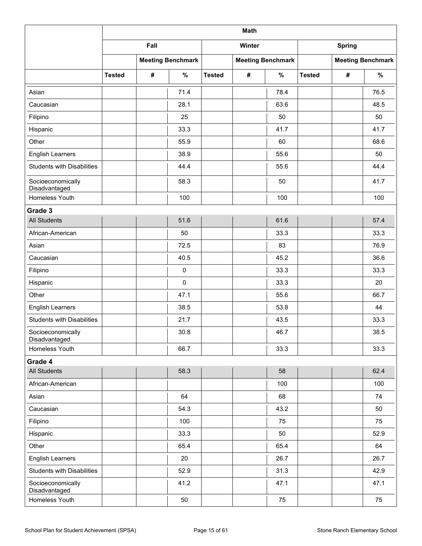|                                    |               | <b>Math</b> |                          |               |        |                          |               |               |                          |  |  |  |
|------------------------------------|---------------|-------------|--------------------------|---------------|--------|--------------------------|---------------|---------------|--------------------------|--|--|--|
|                                    |               | Fall        |                          |               | Winter |                          |               | <b>Spring</b> |                          |  |  |  |
|                                    |               |             | <b>Meeting Benchmark</b> |               |        | <b>Meeting Benchmark</b> |               |               | <b>Meeting Benchmark</b> |  |  |  |
|                                    | <b>Tested</b> | #           | $\%$                     | <b>Tested</b> | #      | $\%$                     | <b>Tested</b> | #             | $\%$                     |  |  |  |
| Asian                              |               |             | 71.4                     |               |        | 78.4                     |               |               | 76.5                     |  |  |  |
| Caucasian                          |               |             | 28.1                     |               |        | 63.6                     |               |               | 48.5                     |  |  |  |
| Filipino                           |               |             | 25                       |               |        | 50                       |               |               | 50                       |  |  |  |
| Hispanic                           |               |             | 33.3                     |               |        | 41.7                     |               |               | 41.7                     |  |  |  |
| Other                              |               |             | 55.9                     |               |        | 60                       |               |               | 68.6                     |  |  |  |
| <b>English Learners</b>            |               |             | 38.9                     |               |        | 55.6                     |               |               | 50                       |  |  |  |
| <b>Students with Disabilities</b>  |               |             | 44.4                     |               |        | 55.6                     |               |               | 44.4                     |  |  |  |
| Socioeconomically<br>Disadvantaged |               |             | 58.3                     |               |        | 50                       |               |               | 41.7                     |  |  |  |
| Homeless Youth                     |               |             | 100                      |               |        | 100                      |               |               | 100                      |  |  |  |
| Grade 3                            |               |             |                          |               |        |                          |               |               |                          |  |  |  |
| <b>All Students</b>                |               |             | 51.6                     |               |        | 61.6                     |               |               | 57.4                     |  |  |  |
| African-American                   |               |             | 50                       |               |        | 33.3                     |               |               | 33.3                     |  |  |  |
| Asian                              |               |             | 72.5                     |               |        | 83                       |               |               | 76.9                     |  |  |  |
| Caucasian                          |               |             | 40.5                     |               |        | 45.2                     |               |               | 36.6                     |  |  |  |
| Filipino                           |               |             | $\pmb{0}$                |               |        | 33.3                     |               |               | 33.3                     |  |  |  |
| Hispanic                           |               |             | $\mathbf 0$              |               |        | 33.3                     |               |               | 20                       |  |  |  |
| Other                              |               |             | 47.1                     |               |        | 55.6                     |               |               | 66.7                     |  |  |  |
| <b>English Learners</b>            |               |             | 38.5                     |               |        | 53.8                     |               |               | 44                       |  |  |  |
| <b>Students with Disabilities</b>  |               |             | 21.7                     |               |        | 43.5                     |               |               | 33.3                     |  |  |  |
| Socioeconomically<br>Disadvantaged |               |             | 30.8                     |               |        | 46.7                     |               |               | 38.5                     |  |  |  |
| Homeless Youth                     |               |             | 66.7                     |               |        | 33.3                     |               |               | 33.3                     |  |  |  |
| Grade 4                            |               |             |                          |               |        |                          |               |               |                          |  |  |  |
| <b>All Students</b>                |               |             | 58.3                     |               |        | 58                       |               |               | 62.4                     |  |  |  |
| African-American                   |               |             |                          |               |        | 100                      |               |               | 100                      |  |  |  |
| Asian                              |               |             | 64                       |               |        | 68                       |               |               | 74                       |  |  |  |
| Caucasian                          |               |             | 54.3                     |               |        | 43.2                     |               |               | 50                       |  |  |  |
| Filipino                           |               |             | 100                      |               |        | 75                       |               |               | 75                       |  |  |  |
| Hispanic                           |               |             | 33.3                     |               |        | 50                       |               |               | 52.9                     |  |  |  |
| Other                              |               |             | 65.4                     |               |        | 65.4                     |               |               | 64                       |  |  |  |
| <b>English Learners</b>            |               |             | 20                       |               |        | 26.7                     |               |               | 26.7                     |  |  |  |
| <b>Students with Disabilities</b>  |               |             | 52.9                     |               |        | 31.3                     |               |               | 42.9                     |  |  |  |
| Socioeconomically<br>Disadvantaged |               |             | 41.2                     |               |        | 47.1                     |               |               | 47.1                     |  |  |  |
| Homeless Youth                     |               |             | 50                       |               |        | 75                       |               |               | 75                       |  |  |  |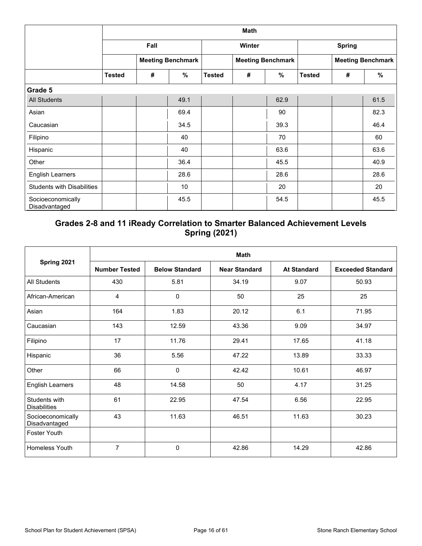|                                    |               | <b>Math</b> |                          |               |        |                          |               |   |                          |  |  |  |  |
|------------------------------------|---------------|-------------|--------------------------|---------------|--------|--------------------------|---------------|---|--------------------------|--|--|--|--|
|                                    |               | Fall        |                          |               | Winter |                          | <b>Spring</b> |   |                          |  |  |  |  |
|                                    |               |             | <b>Meeting Benchmark</b> |               |        | <b>Meeting Benchmark</b> |               |   | <b>Meeting Benchmark</b> |  |  |  |  |
|                                    | <b>Tested</b> | #           | $\%$                     | <b>Tested</b> | #      | $\%$                     | <b>Tested</b> | # | $\frac{9}{6}$            |  |  |  |  |
| Grade 5                            |               |             |                          |               |        |                          |               |   |                          |  |  |  |  |
| <b>All Students</b>                |               |             | 49.1                     |               |        | 62.9                     |               |   | 61.5                     |  |  |  |  |
| Asian                              |               |             | 69.4                     |               |        | 90                       |               |   | 82.3                     |  |  |  |  |
| Caucasian                          |               |             | 34.5                     |               |        | 39.3                     |               |   | 46.4                     |  |  |  |  |
| Filipino                           |               |             | 40                       |               |        | 70                       |               |   | 60                       |  |  |  |  |
| Hispanic                           |               |             | 40                       |               |        | 63.6                     |               |   | 63.6                     |  |  |  |  |
| Other                              |               |             | 36.4                     |               |        | 45.5                     |               |   | 40.9                     |  |  |  |  |
| <b>English Learners</b>            |               |             | 28.6                     |               |        | 28.6                     |               |   | 28.6                     |  |  |  |  |
| <b>Students with Disabilities</b>  |               |             | 10                       |               |        | 20                       |               |   | 20                       |  |  |  |  |
| Socioeconomically<br>Disadvantaged |               |             | 45.5                     |               |        | 54.5                     |               |   | 45.5                     |  |  |  |  |

### **Grades 2-8 and 11 iReady Correlation to Smarter Balanced Achievement Levels Spring (2021)**

|                                      |                      | <b>Math</b>           |                      |                    |                          |  |  |  |  |  |  |  |  |
|--------------------------------------|----------------------|-----------------------|----------------------|--------------------|--------------------------|--|--|--|--|--|--|--|--|
| Spring 2021                          | <b>Number Tested</b> | <b>Below Standard</b> | <b>Near Standard</b> | <b>At Standard</b> | <b>Exceeded Standard</b> |  |  |  |  |  |  |  |  |
| <b>All Students</b>                  | 430                  | 5.81                  | 34.19                | 9.07               | 50.93                    |  |  |  |  |  |  |  |  |
| African-American                     | 4                    | 0                     | 50                   | 25                 | 25                       |  |  |  |  |  |  |  |  |
| Asian                                | 164                  | 1.83                  | 20.12                | 6.1                | 71.95                    |  |  |  |  |  |  |  |  |
| Caucasian                            | 143                  | 12.59                 | 43.36                | 9.09               | 34.97                    |  |  |  |  |  |  |  |  |
| Filipino                             | 17                   | 11.76                 | 29.41                | 17.65              | 41.18                    |  |  |  |  |  |  |  |  |
| Hispanic                             | 36                   | 5.56                  | 47.22                | 13.89              | 33.33                    |  |  |  |  |  |  |  |  |
| Other                                | 66                   | $\mathbf 0$           | 42.42                | 10.61              | 46.97                    |  |  |  |  |  |  |  |  |
| <b>English Learners</b>              | 48                   | 14.58                 | 50                   | 4.17               | 31.25                    |  |  |  |  |  |  |  |  |
| Students with<br><b>Disabilities</b> | 61                   | 22.95                 | 47.54                | 6.56               | 22.95                    |  |  |  |  |  |  |  |  |
| Socioeconomically<br>Disadvantaged   | 43                   | 11.63                 | 46.51                | 11.63              | 30.23                    |  |  |  |  |  |  |  |  |
| <b>Foster Youth</b>                  |                      |                       |                      |                    |                          |  |  |  |  |  |  |  |  |
| <b>Homeless Youth</b>                | $\overline{7}$       | $\mathbf 0$           | 42.86                | 14.29              | 42.86                    |  |  |  |  |  |  |  |  |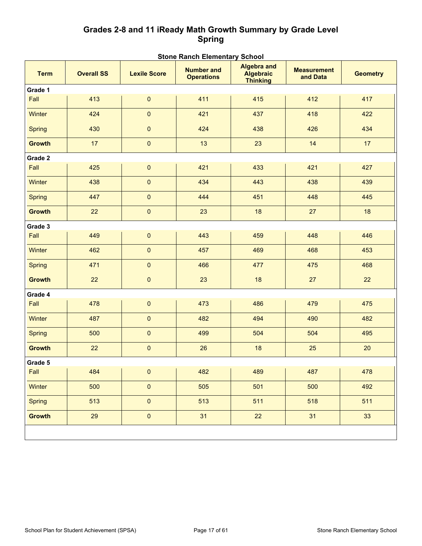### **Grades 2-8 and 11 iReady Math Growth Summary by Grade Level Spring**

| <b>Term</b>   | <b>Overall SS</b>             | <b>Lexile Score</b> | <b>Algebra and</b><br><b>Number and</b><br><b>Algebraic</b><br><b>Operations</b><br><b>Thinking</b> |                     | <b>Measurement</b><br>and Data | <b>Geometry</b> |
|---------------|-------------------------------|---------------------|-----------------------------------------------------------------------------------------------------|---------------------|--------------------------------|-----------------|
| Grade 1       |                               |                     |                                                                                                     |                     |                                |                 |
| Fall          | 413                           | $\pmb{0}$           | 411                                                                                                 | 415                 | 412                            | 417             |
| <b>Winter</b> | 424                           | $\pmb{0}$           | 421                                                                                                 | 437                 | 418                            | 422             |
| <b>Spring</b> | 430                           | $\pmb{0}$           | 424                                                                                                 | 438                 | 426                            | 434             |
| <b>Growth</b> | 17                            | $\pmb{0}$           | 13                                                                                                  | 23                  | 14                             | 17              |
| Grade 2       |                               |                     |                                                                                                     |                     |                                |                 |
| Fall          | 425                           | $\pmb{0}$           | 421                                                                                                 | 433                 | 421                            | 427             |
| Winter        | 438                           | $\pmb{0}$           | 434                                                                                                 | 443                 | 438                            | 439             |
| <b>Spring</b> | 447                           | $\pmb{0}$           | 444                                                                                                 | 451                 | 448                            | 445             |
| <b>Growth</b> | 22                            | $\pmb{0}$           | 23                                                                                                  | 18                  | 27                             | 18              |
| Grade 3       |                               |                     |                                                                                                     |                     |                                |                 |
| Fall          | 449                           | 0                   | 443                                                                                                 | 459                 | 448                            | 446             |
| Winter        | 462                           | $\pmb{0}$           | 457                                                                                                 | 469                 | 468                            | 453             |
| <b>Spring</b> | 471                           | 0                   | 466                                                                                                 | 477                 | 475                            | 468             |
| <b>Growth</b> | 22                            | $\pmb{0}$           | 23                                                                                                  | 18                  | 27                             | 22              |
| Grade 4       |                               |                     |                                                                                                     |                     |                                |                 |
| Fall          | 478                           | 0                   | 473                                                                                                 | 486                 | 479                            | 475             |
| Winter        | 487                           | $\pmb{0}$           | 482                                                                                                 | 494                 | 490                            | 482             |
| <b>Spring</b> | 500                           | $\pmb{0}$           | 499                                                                                                 | 504                 | 504                            | 495             |
| <b>Growth</b> | 22                            | $\pmb{0}$           | 26                                                                                                  | 18                  | 25                             | 20              |
| Grade 5       |                               |                     |                                                                                                     |                     |                                |                 |
| Fall          | 484<br><b>College College</b> | $\mathbf{L}$        |                                                                                                     | 0   482   489   487 |                                | $-1$<br>478     |
| Winter        | 500                           | $\pmb{0}$           | 505                                                                                                 | 501                 | 500                            | 492             |
| <b>Spring</b> | 513                           | $\pmb{0}$           | 513                                                                                                 | 511                 | 518                            | 511             |
| <b>Growth</b> | 29                            | $\pmb{0}$           | 31                                                                                                  | 22                  | 31                             | 33              |
|               |                               |                     |                                                                                                     |                     |                                |                 |

#### **Stone Ranch Elementary School**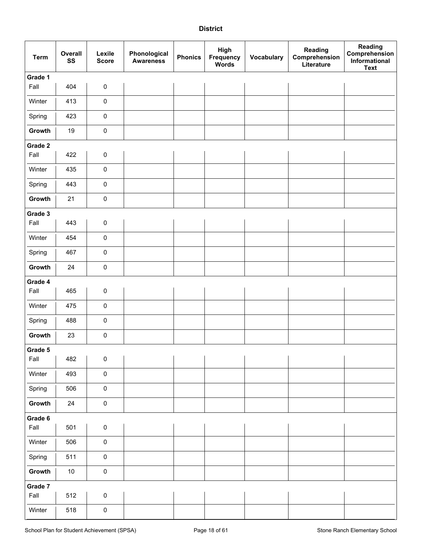#### **District**

| <b>Term</b> | Overall<br>SS | Lexile<br><b>Score</b> | Phonological<br><b>Awareness</b> | <b>Phonics</b> | High<br>Frequency<br>Words | <b>Vocabulary</b> | Reading<br>Comprehension<br>Literature | Reading<br>Comprehension<br>Informational<br><b>Text</b> |
|-------------|---------------|------------------------|----------------------------------|----------------|----------------------------|-------------------|----------------------------------------|----------------------------------------------------------|
| Grade 1     |               |                        |                                  |                |                            |                   |                                        |                                                          |
| Fall        | 404           | $\pmb{0}$              |                                  |                |                            |                   |                                        |                                                          |
| Winter      | 413           | $\pmb{0}$              |                                  |                |                            |                   |                                        |                                                          |
| Spring      | 423           | $\pmb{0}$              |                                  |                |                            |                   |                                        |                                                          |
| Growth      | 19            | $\pmb{0}$              |                                  |                |                            |                   |                                        |                                                          |
| Grade 2     |               |                        |                                  |                |                            |                   |                                        |                                                          |
| Fall        | 422           | $\pmb{0}$              |                                  |                |                            |                   |                                        |                                                          |
| Winter      | 435           | $\pmb{0}$              |                                  |                |                            |                   |                                        |                                                          |
| Spring      | 443           | $\pmb{0}$              |                                  |                |                            |                   |                                        |                                                          |
| Growth      | 21            | $\pmb{0}$              |                                  |                |                            |                   |                                        |                                                          |
| Grade 3     |               |                        |                                  |                |                            |                   |                                        |                                                          |
| Fall        | 443           | $\pmb{0}$              |                                  |                |                            |                   |                                        |                                                          |
| Winter      | 454           | $\pmb{0}$              |                                  |                |                            |                   |                                        |                                                          |
| Spring      | 467           | $\pmb{0}$              |                                  |                |                            |                   |                                        |                                                          |
| Growth      | 24            | $\pmb{0}$              |                                  |                |                            |                   |                                        |                                                          |
| Grade 4     |               |                        |                                  |                |                            |                   |                                        |                                                          |
| Fall        | 465           | $\pmb{0}$              |                                  |                |                            |                   |                                        |                                                          |
| Winter      | 475           | $\pmb{0}$              |                                  |                |                            |                   |                                        |                                                          |
| Spring      | 488           | $\pmb{0}$              |                                  |                |                            |                   |                                        |                                                          |
| Growth      | 23            | $\pmb{0}$              |                                  |                |                            |                   |                                        |                                                          |
| Grade 5     |               |                        |                                  |                |                            |                   |                                        |                                                          |
| Fall        | 482           | $\pmb{0}$              |                                  |                |                            |                   |                                        |                                                          |
| Winter      | 493           | $\pmb{0}$              |                                  |                |                            |                   |                                        |                                                          |
| Spring      | 506           | $\pmb{0}$              |                                  |                |                            |                   |                                        |                                                          |
| Growth      | 24            | $\pmb{0}$              |                                  |                |                            |                   |                                        |                                                          |
| Grade 6     |               |                        |                                  |                |                            |                   |                                        |                                                          |
| Fall        | 501           | $\pmb{0}$              |                                  |                |                            |                   |                                        |                                                          |
| Winter      | 506           | $\pmb{0}$              |                                  |                |                            |                   |                                        |                                                          |
| Spring      | 511           | $\pmb{0}$              |                                  |                |                            |                   |                                        |                                                          |
| Growth      | $10$          | $\pmb{0}$              |                                  |                |                            |                   |                                        |                                                          |
| Grade 7     |               |                        |                                  |                |                            |                   |                                        |                                                          |
| Fall        | 512           | $\pmb{0}$              |                                  |                |                            |                   |                                        |                                                          |
| Winter      | 518           | $\pmb{0}$              |                                  |                |                            |                   |                                        |                                                          |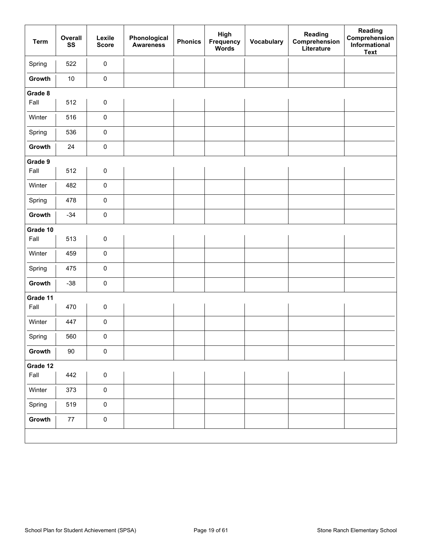| <b>Term</b> | Overall<br>SS | Lexile<br><b>Score</b> | Phonological<br><b>Awareness</b> | <b>Phonics</b> | High<br>Frequency<br>Words | Vocabulary | Reading<br>Comprehension<br>Literature | Reading<br>Comprehension<br>Informational<br><b>Text</b> |
|-------------|---------------|------------------------|----------------------------------|----------------|----------------------------|------------|----------------------------------------|----------------------------------------------------------|
| Spring      | 522           | $\pmb{0}$              |                                  |                |                            |            |                                        |                                                          |
| Growth      | $10\,$        | $\pmb{0}$              |                                  |                |                            |            |                                        |                                                          |
| Grade 8     |               |                        |                                  |                |                            |            |                                        |                                                          |
| Fall        | 512           | $\pmb{0}$              |                                  |                |                            |            |                                        |                                                          |
| Winter      | 516           | $\pmb{0}$              |                                  |                |                            |            |                                        |                                                          |
| Spring      | 536           | $\pmb{0}$              |                                  |                |                            |            |                                        |                                                          |
| Growth      | 24            | $\pmb{0}$              |                                  |                |                            |            |                                        |                                                          |
| Grade 9     |               |                        |                                  |                |                            |            |                                        |                                                          |
| Fall        | 512           | $\pmb{0}$              |                                  |                |                            |            |                                        |                                                          |
| Winter      | 482           | $\pmb{0}$              |                                  |                |                            |            |                                        |                                                          |
| Spring      | 478           | $\pmb{0}$              |                                  |                |                            |            |                                        |                                                          |
| Growth      | $-34$         | $\pmb{0}$              |                                  |                |                            |            |                                        |                                                          |
| Grade 10    |               |                        |                                  |                |                            |            |                                        |                                                          |
| Fall        | 513           | $\pmb{0}$              |                                  |                |                            |            |                                        |                                                          |
| Winter      | 459           | $\pmb{0}$              |                                  |                |                            |            |                                        |                                                          |
| Spring      | 475           | $\pmb{0}$              |                                  |                |                            |            |                                        |                                                          |
| Growth      | $-38$         | $\pmb{0}$              |                                  |                |                            |            |                                        |                                                          |
| Grade 11    |               |                        |                                  |                |                            |            |                                        |                                                          |
| Fall        | 470           | $\pmb{0}$              |                                  |                |                            |            |                                        |                                                          |
| Winter      | 447           | $\pmb{0}$              |                                  |                |                            |            |                                        |                                                          |
| Spring      | 560           | 0                      |                                  |                |                            |            |                                        |                                                          |
| Growth      | $90\,$        | $\pmb{0}$              |                                  |                |                            |            |                                        |                                                          |
| Grade 12    |               |                        |                                  |                |                            |            |                                        |                                                          |
| Fall        | 442           | $\pmb{0}$              |                                  |                |                            |            |                                        |                                                          |
| Winter      | 373           | $\pmb{0}$              |                                  |                |                            |            |                                        |                                                          |
| Spring      | 519           | $\pmb{0}$              |                                  |                |                            |            |                                        |                                                          |
| Growth      | $77\,$        | $\pmb{0}$              |                                  |                |                            |            |                                        |                                                          |
|             |               |                        |                                  |                |                            |            |                                        |                                                          |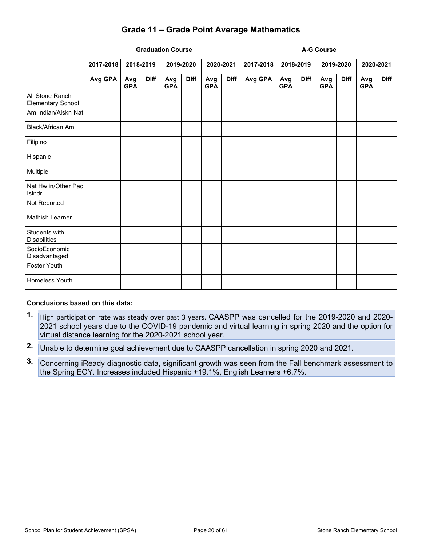|                                             |           | <b>Graduation Course</b> |             |                   |             |                   |             |           | <b>A-G Course</b> |             |                   |             |                   |             |
|---------------------------------------------|-----------|--------------------------|-------------|-------------------|-------------|-------------------|-------------|-----------|-------------------|-------------|-------------------|-------------|-------------------|-------------|
|                                             | 2017-2018 | 2018-2019                |             |                   | 2019-2020   | 2020-2021         |             | 2017-2018 |                   | 2018-2019   | 2019-2020         |             |                   | 2020-2021   |
|                                             | Avg GPA   | Avg<br><b>GPA</b>        | <b>Diff</b> | Avg<br><b>GPA</b> | <b>Diff</b> | Avg<br><b>GPA</b> | <b>Diff</b> | Avg GPA   | Avg<br><b>GPA</b> | <b>Diff</b> | Avg<br><b>GPA</b> | <b>Diff</b> | Avg<br><b>GPA</b> | <b>Diff</b> |
| All Stone Ranch<br><b>Elementary School</b> |           |                          |             |                   |             |                   |             |           |                   |             |                   |             |                   |             |
| Am Indian/Alskn Nat                         |           |                          |             |                   |             |                   |             |           |                   |             |                   |             |                   |             |
| Black/African Am                            |           |                          |             |                   |             |                   |             |           |                   |             |                   |             |                   |             |
| Filipino                                    |           |                          |             |                   |             |                   |             |           |                   |             |                   |             |                   |             |
| Hispanic                                    |           |                          |             |                   |             |                   |             |           |                   |             |                   |             |                   |             |
| Multiple                                    |           |                          |             |                   |             |                   |             |           |                   |             |                   |             |                   |             |
| Nat Hwiin/Other Pac<br>Islndr               |           |                          |             |                   |             |                   |             |           |                   |             |                   |             |                   |             |
| Not Reported                                |           |                          |             |                   |             |                   |             |           |                   |             |                   |             |                   |             |
| <b>Mathish Learner</b>                      |           |                          |             |                   |             |                   |             |           |                   |             |                   |             |                   |             |
| Students with<br><b>Disabilities</b>        |           |                          |             |                   |             |                   |             |           |                   |             |                   |             |                   |             |
| SocioEconomic<br>Disadvantaged              |           |                          |             |                   |             |                   |             |           |                   |             |                   |             |                   |             |
| <b>Foster Youth</b>                         |           |                          |             |                   |             |                   |             |           |                   |             |                   |             |                   |             |
| Homeless Youth                              |           |                          |             |                   |             |                   |             |           |                   |             |                   |             |                   |             |

### **Grade 11 – Grade Point Average Mathematics**

#### **Conclusions based on this data:**

- **1.** High participation rate was steady over past 3 years. CAASPP was cancelled for the 2019-2020 and 2020- 2021 school years due to the COVID-19 pandemic and virtual learning in spring 2020 and the option for virtual distance learning for the 2020-2021 school year.
- **2.** Unable to determine goal achievement due to CAASPP cancellation in spring 2020 and 2021.
- **3.** Concerning iReady diagnostic data, significant growth was seen from the Fall benchmark assessment to the Spring EOY. Increases included Hispanic +19.1%, English Learners +6.7%.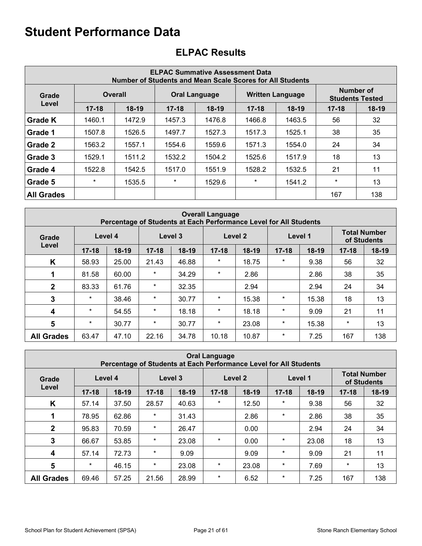|                   | <b>ELPAC Summative Assessment Data</b><br><b>Number of Students and Mean Scale Scores for All Students</b> |                |           |                      |           |                         |                                     |         |  |  |  |  |  |  |
|-------------------|------------------------------------------------------------------------------------------------------------|----------------|-----------|----------------------|-----------|-------------------------|-------------------------------------|---------|--|--|--|--|--|--|
| Grade             |                                                                                                            | <b>Overall</b> |           | <b>Oral Language</b> |           | <b>Written Language</b> | Number of<br><b>Students Tested</b> |         |  |  |  |  |  |  |
| Level             | $17 - 18$                                                                                                  | $18-19$        | $17 - 18$ | $18-19$              | $17 - 18$ | $18-19$                 | $17 - 18$                           | $18-19$ |  |  |  |  |  |  |
| Grade K           | 1460.1                                                                                                     | 1472.9         | 1457.3    | 1476.8               | 1466.8    | 1463.5                  | 56                                  | 32      |  |  |  |  |  |  |
| Grade 1           | 1507.8                                                                                                     | 1526.5         | 1497.7    | 1527.3               | 1517.3    | 1525.1                  | 38                                  | 35      |  |  |  |  |  |  |
| Grade 2           | 1563.2                                                                                                     | 1557.1         | 1554.6    | 1559.6               | 1571.3    | 1554.0                  | 24                                  | 34      |  |  |  |  |  |  |
| Grade 3           | 1529.1                                                                                                     | 1511.2         | 1532.2    | 1504.2               | 1525.6    | 1517.9                  | 18                                  | 13      |  |  |  |  |  |  |
| Grade 4           | 1522.8                                                                                                     | 1542.5         | 1517.0    | 1551.9               | 1528.2    | 1532.5                  | 21                                  | 11      |  |  |  |  |  |  |
| Grade 5           | $\star$                                                                                                    | 1535.5         | $\ast$    | 1529.6               | $\ast$    | 1541.2                  | $\star$                             | 13      |  |  |  |  |  |  |
| <b>All Grades</b> |                                                                                                            |                |           |                      |           |                         | 167                                 | 138     |  |  |  |  |  |  |

## **ELPAC Results**

|                   | <b>Overall Language</b><br>Percentage of Students at Each Performance Level for All Students |         |           |         |           |         |           |         |                                    |       |
|-------------------|----------------------------------------------------------------------------------------------|---------|-----------|---------|-----------|---------|-----------|---------|------------------------------------|-------|
| Grade             | Level 4                                                                                      |         | Level 3   |         |           | Level 2 |           | Level 1 | <b>Total Number</b><br>of Students |       |
| Level             | $17 - 18$                                                                                    | $18-19$ | $17 - 18$ | $18-19$ | $17 - 18$ | $18-19$ | $17 - 18$ | $18-19$ | $17 - 18$                          | 18-19 |
| K                 | 58.93                                                                                        | 25.00   | 21.43     | 46.88   | $\star$   | 18.75   | $^\star$  | 9.38    | 56                                 | 32    |
|                   | 81.58                                                                                        | 60.00   | $^\star$  | 34.29   | $^\star$  | 2.86    |           | 2.86    | 38                                 | 35    |
| $\mathbf{2}$      | 83.33                                                                                        | 61.76   | $\ast$    | 32.35   |           | 2.94    |           | 2.94    | 24                                 | 34    |
| 3                 | $\ast$                                                                                       | 38.46   | $\ast$    | 30.77   | $^\star$  | 15.38   | $^\star$  | 15.38   | 18                                 | 13    |
| $\boldsymbol{4}$  | $\ast$                                                                                       | 54.55   | $\ast$    | 18.18   | $\star$   | 18.18   | $^\star$  | 9.09    | 21                                 | 11    |
| 5                 | $\ast$                                                                                       | 30.77   | $\ast$    | 30.77   | $\ast$    | 23.08   | $^\star$  | 15.38   | $\ast$                             | 13    |
| <b>All Grades</b> | 63.47                                                                                        | 47.10   | 22.16     | 34.78   | 10.18     | 10.87   | $^\star$  | 7.25    | 167                                | 138   |

| <b>Oral Language</b><br>Percentage of Students at Each Performance Level for All Students |           |         |           |         |           |         |           |         |                                    |       |
|-------------------------------------------------------------------------------------------|-----------|---------|-----------|---------|-----------|---------|-----------|---------|------------------------------------|-------|
| Grade                                                                                     | Level 4   |         |           | Level 3 |           | Level 2 |           | Level 1 | <b>Total Number</b><br>of Students |       |
| Level                                                                                     | $17 - 18$ | $18-19$ | $17 - 18$ | $18-19$ | $17 - 18$ | $18-19$ | $17 - 18$ | $18-19$ | $17 - 18$                          | 18-19 |
| K                                                                                         | 57.14     | 37.50   | 28.57     | 40.63   | $\star$   | 12.50   | $\star$   | 9.38    | 56                                 | 32    |
| 1                                                                                         | 78.95     | 62.86   | $\ast$    | 31.43   |           | 2.86    | $\star$   | 2.86    | 38                                 | 35    |
| $\mathbf{2}$                                                                              | 95.83     | 70.59   | *         | 26.47   |           | 0.00    |           | 2.94    | 24                                 | 34    |
| 3                                                                                         | 66.67     | 53.85   | *         | 23.08   | $\star$   | 0.00    | $\star$   | 23.08   | 18                                 | 13    |
| 4                                                                                         | 57.14     | 72.73   | *         | 9.09    |           | 9.09    | $\star$   | 9.09    | 21                                 | 11    |
| $5\phantom{1}$                                                                            | $\ast$    | 46.15   | *         | 23.08   | *         | 23.08   | $\star$   | 7.69    | $\ast$                             | 13    |
| <b>All Grades</b>                                                                         | 69.46     | 57.25   | 21.56     | 28.99   | *         | 6.52    | $\star$   | 7.25    | 167                                | 138   |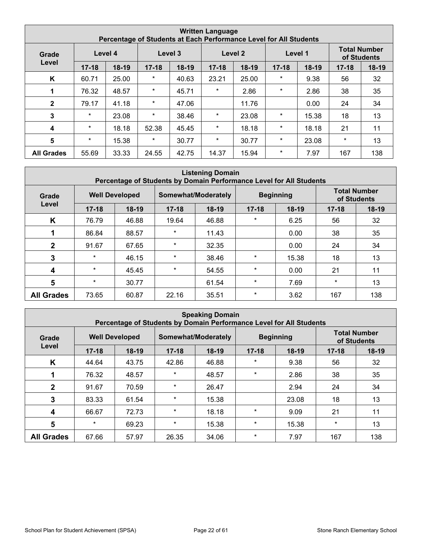| <b>Written Language</b><br>Percentage of Students at Each Performance Level for All Students |           |         |           |         |           |         |           |         |           |                                    |  |
|----------------------------------------------------------------------------------------------|-----------|---------|-----------|---------|-----------|---------|-----------|---------|-----------|------------------------------------|--|
| Grade                                                                                        | Level 4   |         | Level 3   |         |           | Level 2 |           | Level 1 |           | <b>Total Number</b><br>of Students |  |
| Level                                                                                        | $17 - 18$ | $18-19$ | $17 - 18$ | $18-19$ | $17 - 18$ | $18-19$ | $17 - 18$ | $18-19$ | $17 - 18$ | $18-19$                            |  |
| K                                                                                            | 60.71     | 25.00   | $\star$   | 40.63   | 23.21     | 25.00   | $^\star$  | 9.38    | 56        | 32                                 |  |
|                                                                                              | 76.32     | 48.57   | $\star$   | 45.71   | $\star$   | 2.86    | $\ast$    | 2.86    | 38        | 35                                 |  |
| $\mathbf{2}$                                                                                 | 79.17     | 41.18   | $\ast$    | 47.06   |           | 11.76   |           | 0.00    | 24        | 34                                 |  |
| 3                                                                                            | $\star$   | 23.08   | $\star$   | 38.46   | $^\star$  | 23.08   | $^\star$  | 15.38   | 18        | 13                                 |  |
| 4                                                                                            | $\star$   | 18.18   | 52.38     | 45.45   | $^\star$  | 18.18   | $^\star$  | 18.18   | 21        | 11                                 |  |
| 5                                                                                            | $\star$   | 15.38   | $\ast$    | 30.77   | $^\star$  | 30.77   | $\star$   | 23.08   | $\star$   | 13                                 |  |
| <b>All Grades</b>                                                                            | 55.69     | 33.33   | 24.55     | 42.75   | 14.37     | 15.94   | $^\star$  | 7.97    | 167       | 138                                |  |

| <b>Listening Domain</b><br>Percentage of Students by Domain Performance Level for All Students |           |                       |           |                     |           |                  |                                    |         |  |  |
|------------------------------------------------------------------------------------------------|-----------|-----------------------|-----------|---------------------|-----------|------------------|------------------------------------|---------|--|--|
| Grade                                                                                          |           | <b>Well Developed</b> |           | Somewhat/Moderately |           | <b>Beginning</b> | <b>Total Number</b><br>of Students |         |  |  |
| Level                                                                                          | $17 - 18$ | $18-19$               | $17 - 18$ | $18-19$             | $17 - 18$ | $18-19$          | $17 - 18$                          | $18-19$ |  |  |
| K                                                                                              | 76.79     | 46.88                 | 19.64     | 46.88               | $\star$   | 6.25             | 56                                 | 32      |  |  |
|                                                                                                | 86.84     | 88.57                 | $\ast$    | 11.43               |           | 0.00             | 38                                 | 35      |  |  |
| $\mathbf{2}$                                                                                   | 91.67     | 67.65                 | $\star$   | 32.35               |           | 0.00             | 24                                 | 34      |  |  |
| 3                                                                                              | $\star$   | 46.15                 | $\star$   | 38.46               | $\star$   | 15.38            | 18                                 | 13      |  |  |
| 4                                                                                              | $\ast$    | 45.45                 | $\star$   | 54.55               | $\star$   | 0.00             | 21                                 | 11      |  |  |
| $5\phantom{1}$                                                                                 | $\star$   | 30.77                 |           | 61.54               | $\star$   | 7.69             | $\ast$                             | 13      |  |  |
| <b>All Grades</b>                                                                              | 73.65     | 60.87                 | 22.16     | 35.51               | $\ast$    | 3.62             | 167                                | 138     |  |  |

| <b>Speaking Domain</b><br>Percentage of Students by Domain Performance Level for All Students |                       |         |           |                     |           |                  |           |                                    |  |  |
|-----------------------------------------------------------------------------------------------|-----------------------|---------|-----------|---------------------|-----------|------------------|-----------|------------------------------------|--|--|
| Grade                                                                                         | <b>Well Developed</b> |         |           | Somewhat/Moderately |           | <b>Beginning</b> |           | <b>Total Number</b><br>of Students |  |  |
| Level                                                                                         | $17 - 18$             | $18-19$ | $17 - 18$ | $18-19$             | $17 - 18$ | $18-19$          | $17 - 18$ | $18-19$                            |  |  |
| K                                                                                             | 44.64                 | 43.75   | 42.86     | 46.88               | $\star$   | 9.38             | 56        | 32                                 |  |  |
|                                                                                               | 76.32                 | 48.57   | $\star$   | 48.57               | $\star$   | 2.86             | 38        | 35                                 |  |  |
| $\mathbf{2}$                                                                                  | 91.67                 | 70.59   | $\star$   | 26.47               |           | 2.94             | 24        | 34                                 |  |  |
| 3                                                                                             | 83.33                 | 61.54   | $\star$   | 15.38               |           | 23.08            | 18        | 13                                 |  |  |
| 4                                                                                             | 66.67                 | 72.73   | $\star$   | 18.18               | $\star$   | 9.09             | 21        | 11                                 |  |  |
| 5                                                                                             | $\star$               | 69.23   | $\star$   | 15.38               | $\star$   | 15.38            | $^\star$  | 13                                 |  |  |
| <b>All Grades</b>                                                                             | 67.66                 | 57.97   | 26.35     | 34.06               | $\star$   | 7.97             | 167       | 138                                |  |  |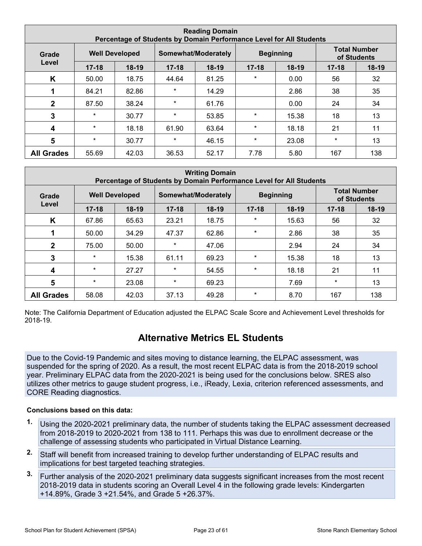| <b>Reading Domain</b><br>Percentage of Students by Domain Performance Level for All Students |           |                       |           |                     |           |                  |           |                                    |  |  |
|----------------------------------------------------------------------------------------------|-----------|-----------------------|-----------|---------------------|-----------|------------------|-----------|------------------------------------|--|--|
| Grade                                                                                        |           | <b>Well Developed</b> |           | Somewhat/Moderately |           | <b>Beginning</b> |           | <b>Total Number</b><br>of Students |  |  |
| Level                                                                                        | $17 - 18$ | $18-19$               | $17 - 18$ | $18-19$             | $17 - 18$ | $18-19$          | $17 - 18$ | $18-19$                            |  |  |
| K                                                                                            | 50.00     | 18.75                 | 44.64     | 81.25               | $\star$   | 0.00             | 56        | 32                                 |  |  |
|                                                                                              | 84.21     | 82.86                 | $\star$   | 14.29               |           | 2.86             | 38        | 35                                 |  |  |
| $\mathbf{2}$                                                                                 | 87.50     | 38.24                 | $\star$   | 61.76               |           | 0.00             | 24        | 34                                 |  |  |
| 3                                                                                            | $\ast$    | 30.77                 | $\star$   | 53.85               | $\star$   | 15.38            | 18        | 13                                 |  |  |
| 4                                                                                            | $\star$   | 18.18                 | 61.90     | 63.64               | $\star$   | 18.18            | 21        | 11                                 |  |  |
| $5\phantom{1}$                                                                               | $\star$   | 30.77                 | $\star$   | 46.15               | $\star$   | 23.08            | $^\star$  | 13                                 |  |  |
| <b>All Grades</b>                                                                            | 55.69     | 42.03                 | 36.53     | 52.17               | 7.78      | 5.80             | 167       | 138                                |  |  |

| <b>Writing Domain</b><br>Percentage of Students by Domain Performance Level for All Students |           |                       |           |                     |           |                  |                                    |         |  |  |
|----------------------------------------------------------------------------------------------|-----------|-----------------------|-----------|---------------------|-----------|------------------|------------------------------------|---------|--|--|
| Grade                                                                                        |           | <b>Well Developed</b> |           | Somewhat/Moderately |           | <b>Beginning</b> | <b>Total Number</b><br>of Students |         |  |  |
| Level                                                                                        | $17 - 18$ | $18-19$               | $17 - 18$ | $18-19$             | $17 - 18$ | $18-19$          | $17 - 18$                          | $18-19$ |  |  |
| K                                                                                            | 67.86     | 65.63                 | 23.21     | 18.75               | $\star$   | 15.63            | 56                                 | 32      |  |  |
|                                                                                              | 50.00     | 34.29                 | 47.37     | 62.86               | $\star$   | 2.86             | 38                                 | 35      |  |  |
| $\mathbf{2}$                                                                                 | 75.00     | 50.00                 | $\ast$    | 47.06               |           | 2.94             | 24                                 | 34      |  |  |
| 3                                                                                            | $\star$   | 15.38                 | 61.11     | 69.23               | $\star$   | 15.38            | 18                                 | 13      |  |  |
| 4                                                                                            | $\star$   | 27.27                 | $\star$   | 54.55               | $\ast$    | 18.18            | 21                                 | 11      |  |  |
| 5                                                                                            | $^\star$  | 23.08                 | $\ast$    | 69.23               |           | 7.69             | $\ast$                             | 13      |  |  |
| <b>All Grades</b>                                                                            | 58.08     | 42.03                 | 37.13     | 49.28               | $\star$   | 8.70             | 167                                | 138     |  |  |

Note: The California Department of Education adjusted the ELPAC Scale Score and Achievement Level thresholds for 2018-19.

### **Alternative Metrics EL Students**

Due to the Covid-19 Pandemic and sites moving to distance learning, the ELPAC assessment, was suspended for the spring of 2020. As a result, the most recent ELPAC data is from the 2018-2019 school year. Preliminary ELPAC data from the 2020-2021 is being used for the conclusions below. SRES also utilizes other metrics to gauge student progress, i.e., iReady, Lexia, criterion referenced assessments, and CORE Reading diagnostics.

#### **Conclusions based on this data:**

- **1.** Using the 2020-2021 preliminary data, the number of students taking the ELPAC assessment decreased from 2018-2019 to 2020-2021 from 138 to 111. Perhaps this was due to enrollment decrease or the challenge of assessing students who participated in Virtual Distance Learning.
- **2.** Staff will benefit from increased training to develop further understanding of ELPAC results and implications for best targeted teaching strategies.
- **3.** Further analysis of the 2020-2021 preliminary data suggests significant increases from the most recent 2018-2019 data in students scoring an Overall Level 4 in the following grade levels: Kindergarten +14.89%, Grade 3 +21.54%, and Grade 5 +26.37%.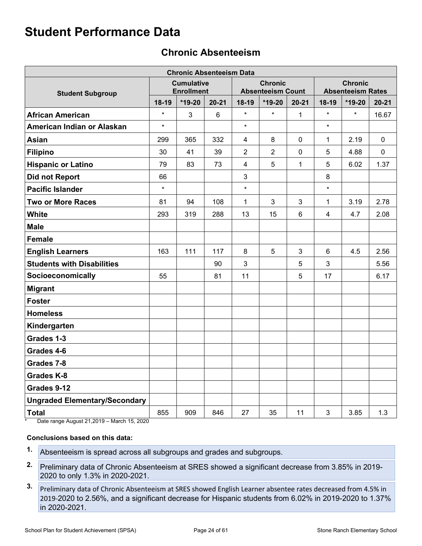## **Chronic Absenteeism**

| <b>Chronic Absenteeism Data</b>      |         |                                        |           |                         |                                            |                |                |                                            |             |
|--------------------------------------|---------|----------------------------------------|-----------|-------------------------|--------------------------------------------|----------------|----------------|--------------------------------------------|-------------|
| <b>Student Subgroup</b>              |         | <b>Cumulative</b><br><b>Enrollment</b> |           |                         | <b>Chronic</b><br><b>Absenteeism Count</b> |                |                | <b>Chronic</b><br><b>Absenteeism Rates</b> |             |
|                                      | 18-19   | *19-20                                 | $20 - 21$ | 18-19                   | $*19-20$                                   | $20 - 21$      | 18-19          | *19-20                                     | $20 - 21$   |
| <b>African American</b>              | $\star$ | 3                                      | 6         | $\star$                 | $\star$                                    | 1              | $\star$        | $\star$                                    | 16.67       |
| American Indian or Alaskan           | $\star$ |                                        |           | $\star$                 |                                            |                | $\star$        |                                            |             |
| <b>Asian</b>                         | 299     | 365                                    | 332       | $\overline{\mathbf{4}}$ | 8                                          | $\mathbf 0$    | $\mathbf 1$    | 2.19                                       | $\mathbf 0$ |
| <b>Filipino</b>                      | 30      | 41                                     | 39        | 2                       | $\overline{2}$                             | $\mathbf 0$    | 5              | 4.88                                       | 0           |
| <b>Hispanic or Latino</b>            | 79      | 83                                     | 73        | 4                       | 5                                          | 1              | 5              | 6.02                                       | 1.37        |
| <b>Did not Report</b>                | 66      |                                        |           | 3                       |                                            |                | 8              |                                            |             |
| <b>Pacific Islander</b>              | $\star$ |                                        |           | $\star$                 |                                            |                | $\star$        |                                            |             |
| <b>Two or More Races</b>             | 81      | 94                                     | 108       | 1                       | 3                                          | 3              | $\mathbf{1}$   | 3.19                                       | 2.78        |
| <b>White</b>                         | 293     | 319                                    | 288       | 13                      | 15                                         | $6\phantom{1}$ | $\overline{4}$ | 4.7                                        | 2.08        |
| <b>Male</b>                          |         |                                        |           |                         |                                            |                |                |                                            |             |
| <b>Female</b>                        |         |                                        |           |                         |                                            |                |                |                                            |             |
| <b>English Learners</b>              | 163     | 111                                    | 117       | 8                       | 5                                          | 3              | 6              | 4.5                                        | 2.56        |
| <b>Students with Disabilities</b>    |         |                                        | 90        | 3                       |                                            | 5              | 3              |                                            | 5.56        |
| Socioeconomically                    | 55      |                                        | 81        | 11                      |                                            | 5              | 17             |                                            | 6.17        |
| <b>Migrant</b>                       |         |                                        |           |                         |                                            |                |                |                                            |             |
| <b>Foster</b>                        |         |                                        |           |                         |                                            |                |                |                                            |             |
| <b>Homeless</b>                      |         |                                        |           |                         |                                            |                |                |                                            |             |
| Kindergarten                         |         |                                        |           |                         |                                            |                |                |                                            |             |
| Grades 1-3                           |         |                                        |           |                         |                                            |                |                |                                            |             |
| Grades 4-6                           |         |                                        |           |                         |                                            |                |                |                                            |             |
| Grades 7-8                           |         |                                        |           |                         |                                            |                |                |                                            |             |
| <b>Grades K-8</b>                    |         |                                        |           |                         |                                            |                |                |                                            |             |
| Grades 9-12                          |         |                                        |           |                         |                                            |                |                |                                            |             |
| <b>Ungraded Elementary/Secondary</b> |         |                                        |           |                         |                                            |                |                |                                            |             |
| <b>Total</b>                         | 855     | 909                                    | 846       | 27                      | 35                                         | 11             | 3              | 3.85                                       | 1.3         |

Date range August 21,2019 – March 15, 2020

#### **Conclusions based on this data:**

- **1.** Absenteeism is spread across all subgroups and grades and subgroups.
- **2.** Preliminary data of Chronic Absenteeism at SRES showed a significant decrease from 3.85% in 2019- 2020 to only 1.3% in 2020-2021.
- **3.** Preliminary data of Chronic Absenteeism at SRES showed English Learner absentee rates decreased from 4.5% in 2019-2020 to 2.56%, and a significant decrease for Hispanic students from 6.02% in 2019-2020 to 1.37% in 2020-2021.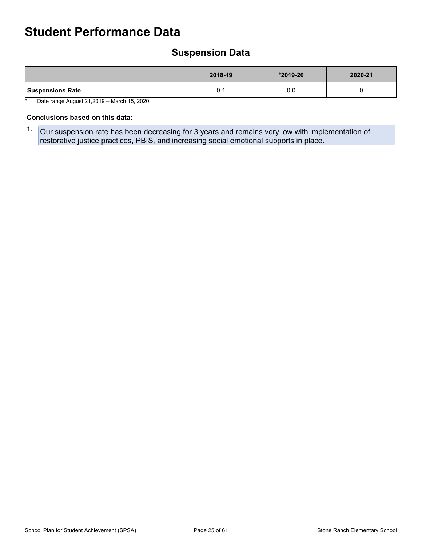## **Suspension Data**

|                         | 2018-19 | $*2019-20$ | 2020-21 |
|-------------------------|---------|------------|---------|
| <b>Suspensions Rate</b> | ∪. ∣    | 0.0        |         |

\* Date range August 21,2019 – March 15, 2020

#### **Conclusions based on this data:**

**1.** Our suspension rate has been decreasing for 3 years and remains very low with implementation of restorative justice practices, PBIS, and increasing social emotional supports in place.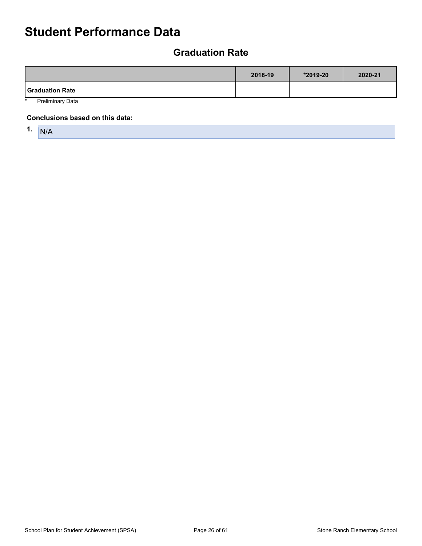## **Graduation Rate**

|                        | 2018-19 | *2019-20 | 2020-21 |
|------------------------|---------|----------|---------|
| <b>Graduation Rate</b> |         |          |         |
| Darlingin am : Data    |         |          |         |

Preliminary Data

#### **Conclusions based on this data:**

1.  $N/A$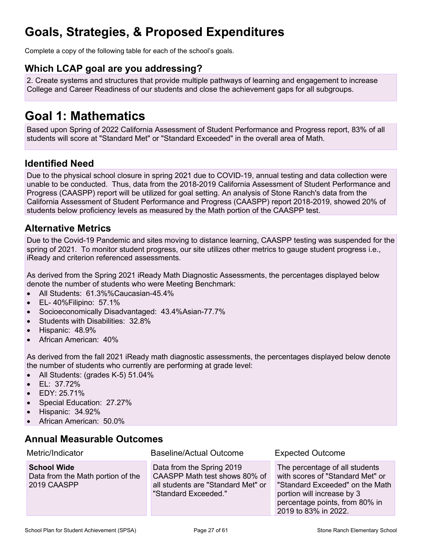## **Goals, Strategies, & Proposed Expenditures**

Complete a copy of the following table for each of the school's goals.

### **Which LCAP goal are you addressing?**

2. Create systems and structures that provide multiple pathways of learning and engagement to increase College and Career Readiness of our students and close the achievement gaps for all subgroups.

## **Goal 1: Mathematics**

Based upon Spring of 2022 California Assessment of Student Performance and Progress report, 83% of all students will score at "Standard Met" or "Standard Exceeded" in the overall area of Math.

### **Identified Need**

Due to the physical school closure in spring 2021 due to COVID-19, annual testing and data collection were unable to be conducted. Thus, data from the 2018-2019 California Assessment of Student Performance and Progress (CAASPP) report will be utilized for goal setting. An analysis of Stone Ranch's data from the California Assessment of Student Performance and Progress (CAASPP) report 2018-2019, showed 20% of students below proficiency levels as measured by the Math portion of the CAASPP test.

### **Alternative Metrics**

Due to the Covid-19 Pandemic and sites moving to distance learning, CAASPP testing was suspended for the spring of 2021. To monitor student progress, our site utilizes other metrics to gauge student progress i.e., iReady and criterion referenced assessments.

As derived from the Spring 2021 iReady Math Diagnostic Assessments, the percentages displayed below denote the number of students who were Meeting Benchmark:

- All Students: 61.3%%Caucasian-45.4%
- EL- 40%Filipino: 57.1%
- Socioeconomically Disadvantaged: 43.4%Asian-77.7%
- Students with Disabilities: 32.8%
- Hispanic: 48.9%
- African American: 40%

As derived from the fall 2021 iReady math diagnostic assessments, the percentages displayed below denote the number of students who currently are performing at grade level:

- All Students: (grades K-5) 51.04%
- EL: 37.72%
- EDY: 25.71%
- Special Education: 27.27%
- Hispanic: 34.92%
- African American: 50.0%

### **Annual Measurable Outcomes**

| Metric/Indicator                                                       | <b>Baseline/Actual Outcome</b>                                                                                           | <b>Expected Outcome</b>                                                                                                                                                                       |
|------------------------------------------------------------------------|--------------------------------------------------------------------------------------------------------------------------|-----------------------------------------------------------------------------------------------------------------------------------------------------------------------------------------------|
| <b>School Wide</b><br>Data from the Math portion of the<br>2019 CAASPP | Data from the Spring 2019<br>CAASPP Math test shows 80% of<br>all students are "Standard Met" or<br>"Standard Exceeded." | The percentage of all students<br>with scores of "Standard Met" or<br>"Standard Exceeded" on the Math<br>portion will increase by 3<br>percentage points, from 80% in<br>2019 to 83% in 2022. |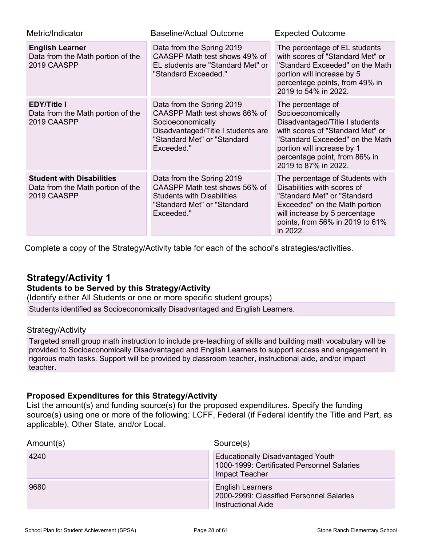| Metric/Indicator                                                                     | <b>Baseline/Actual Outcome</b>                                                                                                                                     | <b>Expected Outcome</b>                                                                                                                                                                                                                |  |  |
|--------------------------------------------------------------------------------------|--------------------------------------------------------------------------------------------------------------------------------------------------------------------|----------------------------------------------------------------------------------------------------------------------------------------------------------------------------------------------------------------------------------------|--|--|
| <b>English Learner</b><br>Data from the Math portion of the<br>2019 CAASPP           | Data from the Spring 2019<br>CAASPP Math test shows 49% of<br>EL students are "Standard Met" or<br>"Standard Exceeded."                                            | The percentage of EL students<br>with scores of "Standard Met" or<br>"Standard Exceeded" on the Math<br>portion will increase by 5<br>percentage points, from 49% in<br>2019 to 54% in 2022.                                           |  |  |
| <b>EDY/Title I</b><br>Data from the Math portion of the<br>2019 CAASPP               | Data from the Spring 2019<br>CAASPP Math test shows 86% of<br>Socioeconomically<br>Disadvantaged/Title I students are<br>"Standard Met" or "Standard<br>Exceeded." | The percentage of<br>Socioeconomically<br>Disadvantaged/Title I students<br>with scores of "Standard Met" or<br>"Standard Exceeded" on the Math<br>portion will increase by 1<br>percentage point, from 86% in<br>2019 to 87% in 2022. |  |  |
| <b>Student with Disabilities</b><br>Data from the Math portion of the<br>2019 CAASPP | Data from the Spring 2019<br>CAASPP Math test shows 56% of<br><b>Students with Disabilities</b><br>"Standard Met" or "Standard<br>Exceeded."                       | The percentage of Students with<br>Disabilities with scores of<br>"Standard Met" or "Standard<br>Exceeded" on the Math portion<br>will increase by 5 percentage<br>points, from 56% in 2019 to 61%<br>in 2022.                         |  |  |

Complete a copy of the Strategy/Activity table for each of the school's strategies/activities.

### **Strategy/Activity 1**

#### **Students to be Served by this Strategy/Activity**

(Identify either All Students or one or more specific student groups)

Students identified as Socioeconomically Disadvantaged and English Learners.

#### Strategy/Activity

Targeted small group math instruction to include pre-teaching of skills and building math vocabulary will be provided to Socioeconomically Disadvantaged and English Learners to support access and engagement in rigorous math tasks. Support will be provided by classroom teacher, instructional aide, and/or impact teacher.

#### **Proposed Expenditures for this Strategy/Activity**

List the amount(s) and funding source(s) for the proposed expenditures. Specify the funding source(s) using one or more of the following: LCFF, Federal (if Federal identify the Title and Part, as applicable), Other State, and/or Local.

| Amount(s) | Source(s)                                                                                                |
|-----------|----------------------------------------------------------------------------------------------------------|
| 4240      | <b>Educationally Disadvantaged Youth</b><br>1000-1999: Certificated Personnel Salaries<br>Impact Teacher |
| 9680      | <b>English Learners</b><br>2000-2999: Classified Personnel Salaries<br>Instructional Aide                |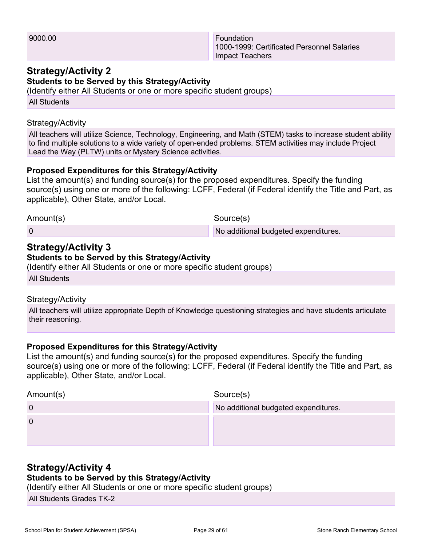1000-1999: Certificated Personnel Salaries Impact Teachers

### **Strategy/Activity 2**

**Students to be Served by this Strategy/Activity**

(Identify either All Students or one or more specific student groups)

All Students

#### Strategy/Activity

All teachers will utilize Science, Technology, Engineering, and Math (STEM) tasks to increase student ability to find multiple solutions to a wide variety of open-ended problems. STEM activities may include Project Lead the Way (PLTW) units or Mystery Science activities.

#### **Proposed Expenditures for this Strategy/Activity**

List the amount(s) and funding source(s) for the proposed expenditures. Specify the funding source(s) using one or more of the following: LCFF, Federal (if Federal identify the Title and Part, as applicable), Other State, and/or Local.

Amount(s) Source(s) 0 **0** No additional budgeted expenditures.

#### **Strategy/Activity 3 Students to be Served by this Strategy/Activity**

(Identify either All Students or one or more specific student groups)

All Students

#### Strategy/Activity

All teachers will utilize appropriate Depth of Knowledge questioning strategies and have students articulate their reasoning.

#### **Proposed Expenditures for this Strategy/Activity**

List the amount(s) and funding source(s) for the proposed expenditures. Specify the funding source(s) using one or more of the following: LCFF, Federal (if Federal identify the Title and Part, as applicable), Other State, and/or Local.

| Amount(s) | Source(s)                            |
|-----------|--------------------------------------|
|           | No additional budgeted expenditures. |
|           |                                      |
|           |                                      |
|           |                                      |

### **Strategy/Activity 4**

### **Students to be Served by this Strategy/Activity**

(Identify either All Students or one or more specific student groups)

All Students Grades TK-2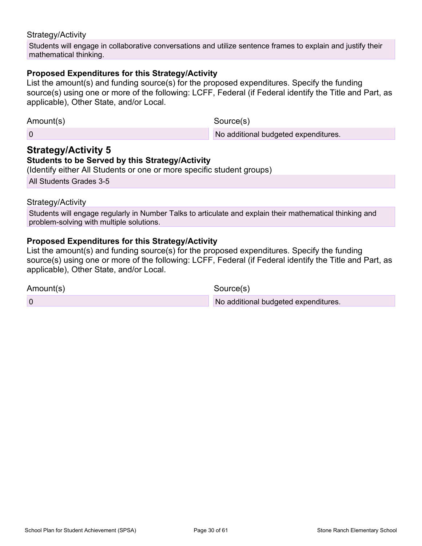#### Strategy/Activity

Students will engage in collaborative conversations and utilize sentence frames to explain and justify their mathematical thinking.

#### **Proposed Expenditures for this Strategy/Activity**

List the amount(s) and funding source(s) for the proposed expenditures. Specify the funding source(s) using one or more of the following: LCFF, Federal (if Federal identify the Title and Part, as applicable), Other State, and/or Local.

| Amount(s) | Source(s)                            |
|-----------|--------------------------------------|
|           | No additional budgeted expenditures. |

## **Strategy/Activity 5**

#### **Students to be Served by this Strategy/Activity**

(Identify either All Students or one or more specific student groups)

All Students Grades 3-5

#### Strategy/Activity

Students will engage regularly in Number Talks to articulate and explain their mathematical thinking and problem-solving with multiple solutions.

#### **Proposed Expenditures for this Strategy/Activity**

List the amount(s) and funding source(s) for the proposed expenditures. Specify the funding source(s) using one or more of the following: LCFF, Federal (if Federal identify the Title and Part, as applicable), Other State, and/or Local.

Amount(s) Source(s)

0 **No additional budgeted expenditures.**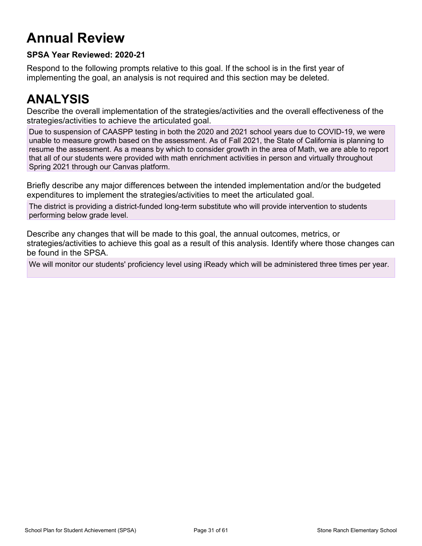## **Annual Review**

### **SPSA Year Reviewed: 2020-21**

Respond to the following prompts relative to this goal. If the school is in the first year of implementing the goal, an analysis is not required and this section may be deleted.

## **ANALYSIS**

Describe the overall implementation of the strategies/activities and the overall effectiveness of the strategies/activities to achieve the articulated goal.

Due to suspension of CAASPP testing in both the 2020 and 2021 school years due to COVID-19, we were unable to measure growth based on the assessment. As of Fall 2021, the State of California is planning to resume the assessment. As a means by which to consider growth in the area of Math, we are able to report that all of our students were provided with math enrichment activities in person and virtually throughout Spring 2021 through our Canvas platform.

Briefly describe any major differences between the intended implementation and/or the budgeted expenditures to implement the strategies/activities to meet the articulated goal.

The district is providing a district-funded long-term substitute who will provide intervention to students performing below grade level.

Describe any changes that will be made to this goal, the annual outcomes, metrics, or strategies/activities to achieve this goal as a result of this analysis. Identify where those changes can be found in the SPSA.

We will monitor our students' proficiency level using iReady which will be administered three times per year.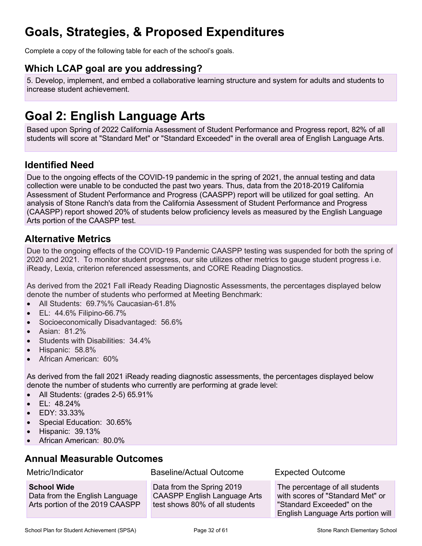## **Goals, Strategies, & Proposed Expenditures**

Complete a copy of the following table for each of the school's goals.

### **Which LCAP goal are you addressing?**

5. Develop, implement, and embed a collaborative learning structure and system for adults and students to increase student achievement.

## **Goal 2: English Language Arts**

Based upon Spring of 2022 California Assessment of Student Performance and Progress report, 82% of all students will score at "Standard Met" or "Standard Exceeded" in the overall area of English Language Arts.

### **Identified Need**

Due to the ongoing effects of the COVID-19 pandemic in the spring of 2021, the annual testing and data collection were unable to be conducted the past two years. Thus, data from the 2018-2019 California Assessment of Student Performance and Progress (CAASPP) report will be utilized for goal setting. An analysis of Stone Ranch's data from the California Assessment of Student Performance and Progress (CAASPP) report showed 20% of students below proficiency levels as measured by the English Language Arts portion of the CAASPP test.

### **Alternative Metrics**

Due to the ongoing effects of the COVID-19 Pandemic CAASPP testing was suspended for both the spring of 2020 and 2021. To monitor student progress, our site utilizes other metrics to gauge student progress i.e. iReady, Lexia, criterion referenced assessments, and CORE Reading Diagnostics.

As derived from the 2021 Fall iReady Reading Diagnostic Assessments, the percentages displayed below denote the number of students who performed at Meeting Benchmark:

- All Students: 69.7%% Caucasian-61.8%
- EL: 44.6% Filipino-66.7%
- Socioeconomically Disadvantaged: 56.6%
- Asian: 81.2%
- Students with Disabilities: 34.4%
- Hispanic: 58.8%
- African American: 60%

As derived from the fall 2021 iReady reading diagnostic assessments, the percentages displayed below denote the number of students who currently are performing at grade level:

- All Students: (grades 2-5) 65.91%
- EL: 48.24%
- EDY: 33.33%
- Special Education: 30.65%
- Hispanic: 39.13%
- African American: 80.0%

### **Annual Measurable Outcomes**

| Metric/Indicator                                                                        | Baseline/Actual Outcome                                                                            | <b>Expected Outcome</b>                                                                                                                |
|-----------------------------------------------------------------------------------------|----------------------------------------------------------------------------------------------------|----------------------------------------------------------------------------------------------------------------------------------------|
| <b>School Wide</b><br>Data from the English Language<br>Arts portion of the 2019 CAASPP | Data from the Spring 2019<br><b>CAASPP English Language Arts</b><br>test shows 80% of all students | The percentage of all students<br>with scores of "Standard Met" or<br>"Standard Exceeded" on the<br>English Language Arts portion will |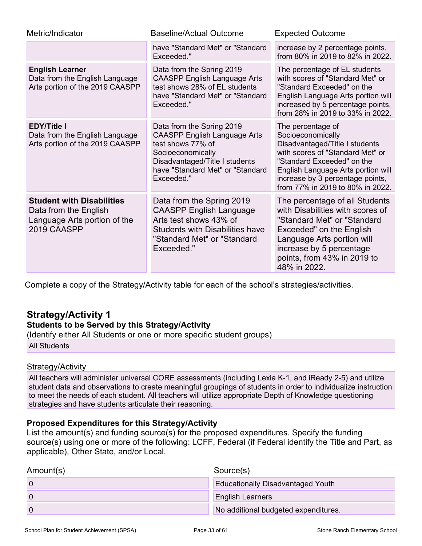| Metric/Indicator                                                                                         | <b>Baseline/Actual Outcome</b>                                                                                                                                                                 | <b>Expected Outcome</b>                                                                                                                                                                                                                                  |
|----------------------------------------------------------------------------------------------------------|------------------------------------------------------------------------------------------------------------------------------------------------------------------------------------------------|----------------------------------------------------------------------------------------------------------------------------------------------------------------------------------------------------------------------------------------------------------|
|                                                                                                          | have "Standard Met" or "Standard<br>Exceeded."                                                                                                                                                 | increase by 2 percentage points,<br>from 80% in 2019 to 82% in 2022.                                                                                                                                                                                     |
| <b>English Learner</b><br>Data from the English Language<br>Arts portion of the 2019 CAASPP              | Data from the Spring 2019<br><b>CAASPP English Language Arts</b><br>test shows 28% of EL students<br>have "Standard Met" or "Standard<br>Exceeded."                                            | The percentage of EL students<br>with scores of "Standard Met" or<br>"Standard Exceeded" on the<br>English Language Arts portion will<br>increased by 5 percentage points,<br>from 28% in 2019 to 33% in 2022.                                           |
| <b>EDY/Title I</b><br>Data from the English Language<br>Arts portion of the 2019 CAASPP                  | Data from the Spring 2019<br><b>CAASPP English Language Arts</b><br>test shows 77% of<br>Socioeconomically<br>Disadvantaged/Title I students<br>have "Standard Met" or "Standard<br>Exceeded." | The percentage of<br>Socioeconomically<br>Disadvantaged/Title I students<br>with scores of "Standard Met" or<br>"Standard Exceeded" on the<br>English Language Arts portion will<br>increase by 3 percentage points,<br>from 77% in 2019 to 80% in 2022. |
| <b>Student with Disabilities</b><br>Data from the English<br>Language Arts portion of the<br>2019 CAASPP | Data from the Spring 2019<br><b>CAASPP English Language</b><br>Arts test shows 43% of<br><b>Students with Disabilities have</b><br>"Standard Met" or "Standard<br>Exceeded."                   | The percentage of all Students<br>with Disabilities with scores of<br>"Standard Met" or "Standard<br>Exceeded" on the English<br>Language Arts portion will<br>increase by 5 percentage<br>points, from 43% in 2019 to<br>48% in 2022.                   |

Complete a copy of the Strategy/Activity table for each of the school's strategies/activities.

## **Strategy/Activity 1**

### **Students to be Served by this Strategy/Activity**

(Identify either All Students or one or more specific student groups)

All Students

#### Strategy/Activity

All teachers will administer universal CORE assessments (including Lexia K-1, and iReady 2-5) and utilize student data and observations to create meaningful groupings of students in order to individualize instruction to meet the needs of each student. All teachers will utilize appropriate Depth of Knowledge questioning strategies and have students articulate their reasoning.

#### **Proposed Expenditures for this Strategy/Activity**

List the amount(s) and funding source(s) for the proposed expenditures. Specify the funding source(s) using one or more of the following: LCFF, Federal (if Federal identify the Title and Part, as applicable), Other State, and/or Local.

| Amount(s) | Source(s)                                |
|-----------|------------------------------------------|
|           | <b>Educationally Disadvantaged Youth</b> |
|           | <b>English Learners</b>                  |
|           | No additional budgeted expenditures.     |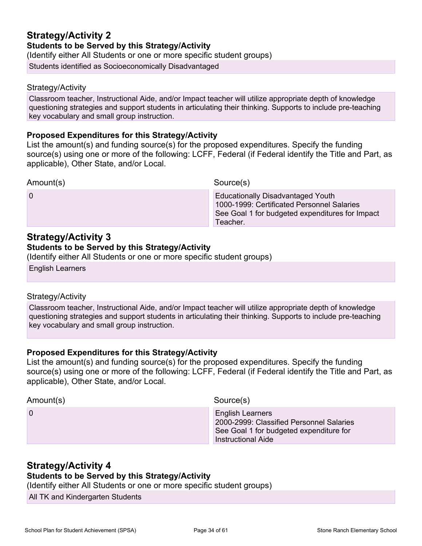#### **Strategy/Activity 2 Students to be Served by this Strategy/Activity** (Identify either All Students or one or more specific student groups)

Students identified as Socioeconomically Disadvantaged

### Strategy/Activity

Classroom teacher, Instructional Aide, and/or Impact teacher will utilize appropriate depth of knowledge questioning strategies and support students in articulating their thinking. Supports to include pre-teaching key vocabulary and small group instruction.

#### **Proposed Expenditures for this Strategy/Activity**

List the amount(s) and funding source(s) for the proposed expenditures. Specify the funding source(s) using one or more of the following: LCFF, Federal (if Federal identify the Title and Part, as applicable), Other State, and/or Local.

| <b>Educationally Disadvantaged Youth</b><br>$\Omega$<br>1000-1999: Certificated Personnel Salaries<br>See Goal 1 for budgeted expenditures for Impact<br>Teacher. | Amount(s) | Source(s) |
|-------------------------------------------------------------------------------------------------------------------------------------------------------------------|-----------|-----------|
|                                                                                                                                                                   |           |           |

### **Strategy/Activity 3**

#### **Students to be Served by this Strategy/Activity**

(Identify either All Students or one or more specific student groups)

English Learners

#### Strategy/Activity

Classroom teacher, Instructional Aide, and/or Impact teacher will utilize appropriate depth of knowledge questioning strategies and support students in articulating their thinking. Supports to include pre-teaching key vocabulary and small group instruction.

#### **Proposed Expenditures for this Strategy/Activity**

List the amount(s) and funding source(s) for the proposed expenditures. Specify the funding source(s) using one or more of the following: LCFF, Federal (if Federal identify the Title and Part, as applicable), Other State, and/or Local.

| Amount(s) | Source(s)                                                                                                                            |
|-----------|--------------------------------------------------------------------------------------------------------------------------------------|
| 0         | <b>English Learners</b><br>2000-2999: Classified Personnel Salaries<br>See Goal 1 for budgeted expenditure for<br>Instructional Aide |

### **Strategy/Activity 4**

#### **Students to be Served by this Strategy/Activity**

(Identify either All Students or one or more specific student groups)

All TK and Kindergarten Students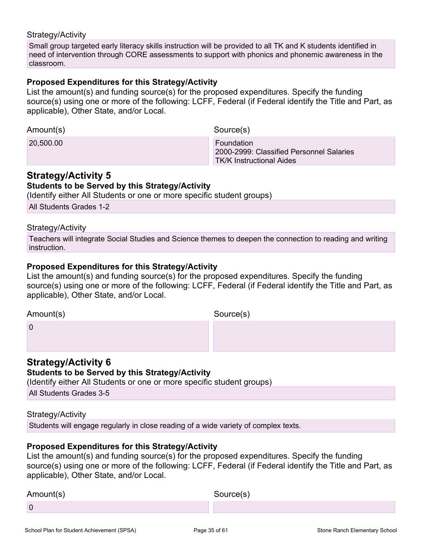#### Strategy/Activity

Small group targeted early literacy skills instruction will be provided to all TK and K students identified in need of intervention through CORE assessments to support with phonics and phonemic awareness in the classroom.

#### **Proposed Expenditures for this Strategy/Activity**

List the amount(s) and funding source(s) for the proposed expenditures. Specify the funding source(s) using one or more of the following: LCFF, Federal (if Federal identify the Title and Part, as applicable), Other State, and/or Local.

| Amount(s) | Source(s)                                                                          |
|-----------|------------------------------------------------------------------------------------|
| 20,500.00 | Foundation<br>2000-2999: Classified Personnel Salaries<br>TK/K Instructional Aides |

### **Strategy/Activity 5**

#### **Students to be Served by this Strategy/Activity**

(Identify either All Students or one or more specific student groups)

All Students Grades 1-2

#### Strategy/Activity

Teachers will integrate Social Studies and Science themes to deepen the connection to reading and writing instruction.

#### **Proposed Expenditures for this Strategy/Activity**

List the amount(s) and funding source(s) for the proposed expenditures. Specify the funding source(s) using one or more of the following: LCFF, Federal (if Federal identify the Title and Part, as applicable), Other State, and/or Local.

Amount(s) Source(s)

0

### **Strategy/Activity 6**

#### **Students to be Served by this Strategy/Activity**

(Identify either All Students or one or more specific student groups)

All Students Grades 3-5

#### Strategy/Activity

Students will engage regularly in close reading of a wide variety of complex texts.

#### **Proposed Expenditures for this Strategy/Activity**

List the amount(s) and funding source(s) for the proposed expenditures. Specify the funding source(s) using one or more of the following: LCFF, Federal (if Federal identify the Title and Part, as applicable), Other State, and/or Local.

Amount(s) Source(s) 0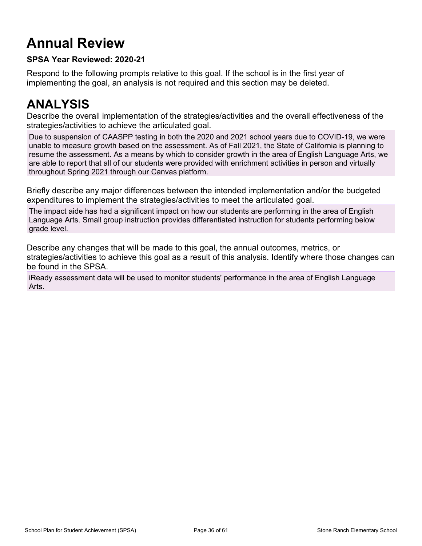## **Annual Review**

### **SPSA Year Reviewed: 2020-21**

Respond to the following prompts relative to this goal. If the school is in the first year of implementing the goal, an analysis is not required and this section may be deleted.

## **ANALYSIS**

Describe the overall implementation of the strategies/activities and the overall effectiveness of the strategies/activities to achieve the articulated goal.

Due to suspension of CAASPP testing in both the 2020 and 2021 school years due to COVID-19, we were unable to measure growth based on the assessment. As of Fall 2021, the State of California is planning to resume the assessment. As a means by which to consider growth in the area of English Language Arts, we are able to report that all of our students were provided with enrichment activities in person and virtually throughout Spring 2021 through our Canvas platform.

Briefly describe any major differences between the intended implementation and/or the budgeted expenditures to implement the strategies/activities to meet the articulated goal.

The impact aide has had a significant impact on how our students are performing in the area of English Language Arts. Small group instruction provides differentiated instruction for students performing below grade level.

Describe any changes that will be made to this goal, the annual outcomes, metrics, or strategies/activities to achieve this goal as a result of this analysis. Identify where those changes can be found in the SPSA.

iReady assessment data will be used to monitor students' performance in the area of English Language Arts.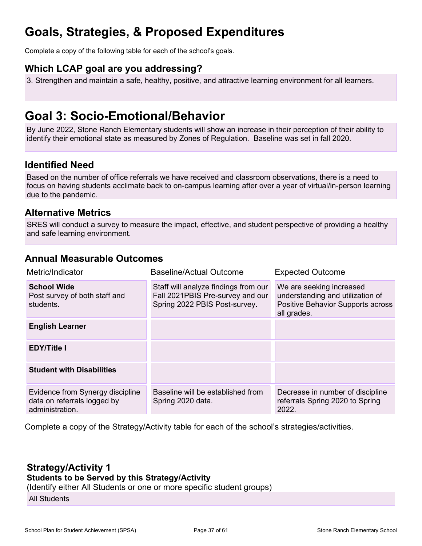## **Goals, Strategies, & Proposed Expenditures**

Complete a copy of the following table for each of the school's goals.

### **Which LCAP goal are you addressing?**

3. Strengthen and maintain a safe, healthy, positive, and attractive learning environment for all learners.

## **Goal 3: Socio-Emotional/Behavior**

By June 2022, Stone Ranch Elementary students will show an increase in their perception of their ability to identify their emotional state as measured by Zones of Regulation. Baseline was set in fall 2020.

### **Identified Need**

Based on the number of office referrals we have received and classroom observations, there is a need to focus on having students acclimate back to on-campus learning after over a year of virtual/in-person learning due to the pandemic.

### **Alternative Metrics**

SRES will conduct a survey to measure the impact, effective, and student perspective of providing a healthy and safe learning environment.

### **Annual Measurable Outcomes**

| Metric/Indicator                                                                   | <b>Baseline/Actual Outcome</b>                                                                            | <b>Expected Outcome</b>                                                                                          |
|------------------------------------------------------------------------------------|-----------------------------------------------------------------------------------------------------------|------------------------------------------------------------------------------------------------------------------|
| <b>School Wide</b><br>Post survey of both staff and<br>students.                   | Staff will analyze findings from our<br>Fall 2021PBIS Pre-survey and our<br>Spring 2022 PBIS Post-survey. | We are seeking increased<br>understanding and utilization of<br>Positive Behavior Supports across<br>all grades. |
| <b>English Learner</b>                                                             |                                                                                                           |                                                                                                                  |
| <b>EDY/Title I</b>                                                                 |                                                                                                           |                                                                                                                  |
| <b>Student with Disabilities</b>                                                   |                                                                                                           |                                                                                                                  |
| Evidence from Synergy discipline<br>data on referrals logged by<br>administration. | Baseline will be established from<br>Spring 2020 data.                                                    | Decrease in number of discipline<br>referrals Spring 2020 to Spring<br>2022.                                     |

Complete a copy of the Strategy/Activity table for each of the school's strategies/activities.

## **Strategy/Activity 1**

### **Students to be Served by this Strategy/Activity**

(Identify either All Students or one or more specific student groups)

All Students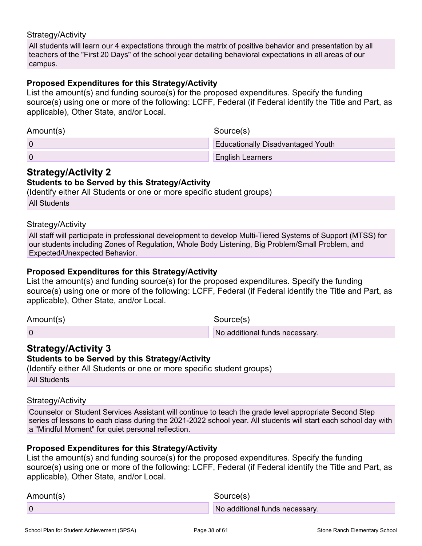#### Strategy/Activity

All students will learn our 4 expectations through the matrix of positive behavior and presentation by all teachers of the "First 20 Days" of the school year detailing behavioral expectations in all areas of our campus.

#### **Proposed Expenditures for this Strategy/Activity**

List the amount(s) and funding source(s) for the proposed expenditures. Specify the funding source(s) using one or more of the following: LCFF, Federal (if Federal identify the Title and Part, as applicable), Other State, and/or Local.

| Amount(s) | Source(s)                                |
|-----------|------------------------------------------|
|           | <b>Educationally Disadvantaged Youth</b> |
|           | <b>English Learners</b>                  |

### **Strategy/Activity 2**

#### **Students to be Served by this Strategy/Activity**

(Identify either All Students or one or more specific student groups) All Students

#### Strategy/Activity

All staff will participate in professional development to develop Multi-Tiered Systems of Support (MTSS) for our students including Zones of Regulation, Whole Body Listening, Big Problem/Small Problem, and Expected/Unexpected Behavior.

#### **Proposed Expenditures for this Strategy/Activity**

List the amount(s) and funding source(s) for the proposed expenditures. Specify the funding source(s) using one or more of the following: LCFF, Federal (if Federal identify the Title and Part, as applicable), Other State, and/or Local.

Amount(s) Source(s)

0 **No additional funds necessary.** 

### **Strategy/Activity 3**

**Students to be Served by this Strategy/Activity**

(Identify either All Students or one or more specific student groups)

All Students

#### Strategy/Activity

Counselor or Student Services Assistant will continue to teach the grade level appropriate Second Step series of lessons to each class during the 2021-2022 school year. All students will start each school day with a "Mindful Moment" for quiet personal reflection.

#### **Proposed Expenditures for this Strategy/Activity**

List the amount(s) and funding source(s) for the proposed expenditures. Specify the funding source(s) using one or more of the following: LCFF, Federal (if Federal identify the Title and Part, as applicable), Other State, and/or Local.

| Amount(s) | Source(s)                      |
|-----------|--------------------------------|
|           | No additional funds necessary. |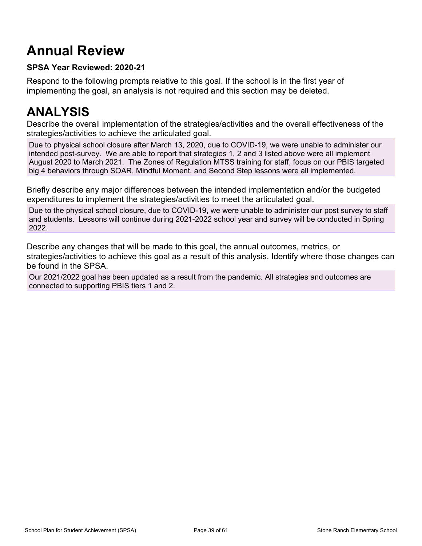## **Annual Review**

### **SPSA Year Reviewed: 2020-21**

Respond to the following prompts relative to this goal. If the school is in the first year of implementing the goal, an analysis is not required and this section may be deleted.

## **ANALYSIS**

Describe the overall implementation of the strategies/activities and the overall effectiveness of the strategies/activities to achieve the articulated goal.

Due to physical school closure after March 13, 2020, due to COVID-19, we were unable to administer our intended post-survey. We are able to report that strategies 1, 2 and 3 listed above were all implement August 2020 to March 2021. The Zones of Regulation MTSS training for staff, focus on our PBIS targeted big 4 behaviors through SOAR, Mindful Moment, and Second Step lessons were all implemented.

Briefly describe any major differences between the intended implementation and/or the budgeted expenditures to implement the strategies/activities to meet the articulated goal.

Due to the physical school closure, due to COVID-19, we were unable to administer our post survey to staff and students. Lessons will continue during 2021-2022 school year and survey will be conducted in Spring 2022.

Describe any changes that will be made to this goal, the annual outcomes, metrics, or strategies/activities to achieve this goal as a result of this analysis. Identify where those changes can be found in the SPSA.

Our 2021/2022 goal has been updated as a result from the pandemic. All strategies and outcomes are connected to supporting PBIS tiers 1 and 2.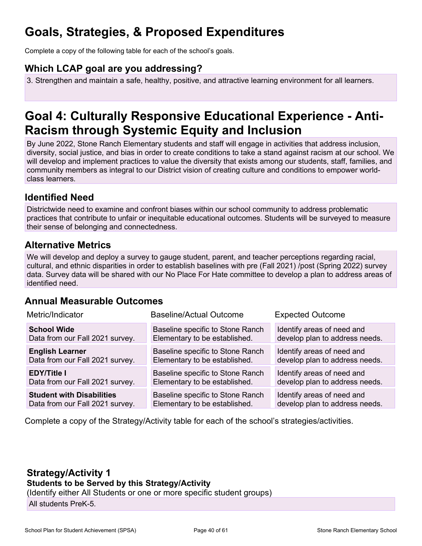## **Goals, Strategies, & Proposed Expenditures**

Complete a copy of the following table for each of the school's goals.

### **Which LCAP goal are you addressing?**

3. Strengthen and maintain a safe, healthy, positive, and attractive learning environment for all learners.

## **Goal 4: Culturally Responsive Educational Experience - Anti-Racism through Systemic Equity and Inclusion**

By June 2022, Stone Ranch Elementary students and staff will engage in activities that address inclusion, diversity, social justice, and bias in order to create conditions to take a stand against racism at our school. We will develop and implement practices to value the diversity that exists among our students, staff, families, and community members as integral to our District vision of creating culture and conditions to empower worldclass learners.

### **Identified Need**

Districtwide need to examine and confront biases within our school community to address problematic practices that contribute to unfair or inequitable educational outcomes. Students will be surveyed to measure their sense of belonging and connectedness.

### **Alternative Metrics**

We will develop and deploy a survey to gauge student, parent, and teacher perceptions regarding racial, cultural, and ethnic disparities in order to establish baselines with pre (Fall 2021) /post (Spring 2022) survey data. Survey data will be shared with our No Place For Hate committee to develop a plan to address areas of identified need.

### **Annual Measurable Outcomes**

| Metric/Indicator                 | <b>Baseline/Actual Outcome</b>   | <b>Expected Outcome</b>        |  |
|----------------------------------|----------------------------------|--------------------------------|--|
| <b>School Wide</b>               | Baseline specific to Stone Ranch | Identify areas of need and     |  |
| Data from our Fall 2021 survey.  | Elementary to be established.    | develop plan to address needs. |  |
| <b>English Learner</b>           | Baseline specific to Stone Ranch | Identify areas of need and     |  |
| Data from our Fall 2021 survey.  | Elementary to be established.    | develop plan to address needs. |  |
| <b>EDY/Title I</b>               | Baseline specific to Stone Ranch | Identify areas of need and     |  |
| Data from our Fall 2021 survey.  | Elementary to be established.    | develop plan to address needs. |  |
| <b>Student with Disabilities</b> | Baseline specific to Stone Ranch | Identify areas of need and     |  |
| Data from our Fall 2021 survey.  | Elementary to be established.    | develop plan to address needs. |  |

Complete a copy of the Strategy/Activity table for each of the school's strategies/activities.

### **Strategy/Activity 1**

**Students to be Served by this Strategy/Activity**

(Identify either All Students or one or more specific student groups)

All students PreK-5.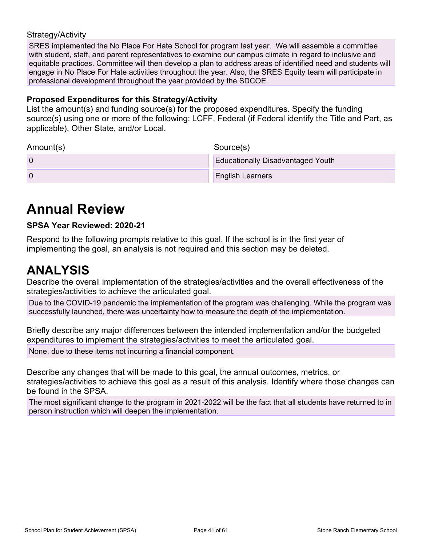#### Strategy/Activity

SRES implemented the No Place For Hate School for program last year. We will assemble a committee with student, staff, and parent representatives to examine our campus climate in regard to inclusive and equitable practices. Committee will then develop a plan to address areas of identified need and students will engage in No Place For Hate activities throughout the year. Also, the SRES Equity team will participate in professional development throughout the year provided by the SDCOE.

#### **Proposed Expenditures for this Strategy/Activity**

List the amount(s) and funding source(s) for the proposed expenditures. Specify the funding source(s) using one or more of the following: LCFF, Federal (if Federal identify the Title and Part, as applicable), Other State, and/or Local.

| Amount(s) | Source(s)                                |
|-----------|------------------------------------------|
|           | <b>Educationally Disadvantaged Youth</b> |
|           | <b>English Learners</b>                  |

## **Annual Review**

#### **SPSA Year Reviewed: 2020-21**

Respond to the following prompts relative to this goal. If the school is in the first year of implementing the goal, an analysis is not required and this section may be deleted.

## **ANALYSIS**

Describe the overall implementation of the strategies/activities and the overall effectiveness of the strategies/activities to achieve the articulated goal.

Due to the COVID-19 pandemic the implementation of the program was challenging. While the program was successfully launched, there was uncertainty how to measure the depth of the implementation.

Briefly describe any major differences between the intended implementation and/or the budgeted expenditures to implement the strategies/activities to meet the articulated goal. None, due to these items not incurring a financial component.

Describe any changes that will be made to this goal, the annual outcomes, metrics, or strategies/activities to achieve this goal as a result of this analysis. Identify where those changes can be found in the SPSA.

The most significant change to the program in 2021-2022 will be the fact that all students have returned to in person instruction which will deepen the implementation.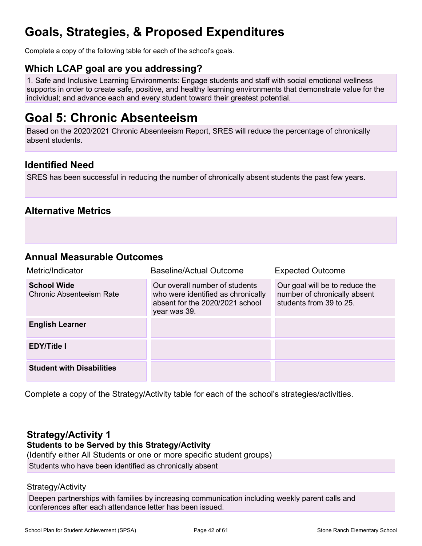## **Goals, Strategies, & Proposed Expenditures**

Complete a copy of the following table for each of the school's goals.

### **Which LCAP goal are you addressing?**

1. Safe and Inclusive Learning Environments: Engage students and staff with social emotional wellness supports in order to create safe, positive, and healthy learning environments that demonstrate value for the individual; and advance each and every student toward their greatest potential.

## **Goal 5: Chronic Absenteeism**

Based on the 2020/2021 Chronic Absenteeism Report, SRES will reduce the percentage of chronically absent students.

### **Identified Need**

SRES has been successful in reducing the number of chronically absent students the past few years.

### **Alternative Metrics**

### **Annual Measurable Outcomes**

| Metric/Indicator                                      | <b>Baseline/Actual Outcome</b>                                                                                          | <b>Expected Outcome</b>                                                                   |
|-------------------------------------------------------|-------------------------------------------------------------------------------------------------------------------------|-------------------------------------------------------------------------------------------|
| <b>School Wide</b><br><b>Chronic Absenteeism Rate</b> | Our overall number of students<br>who were identified as chronically<br>absent for the 2020/2021 school<br>year was 39. | Our goal will be to reduce the<br>number of chronically absent<br>students from 39 to 25. |
| <b>English Learner</b>                                |                                                                                                                         |                                                                                           |
| <b>EDY/Title I</b>                                    |                                                                                                                         |                                                                                           |
| <b>Student with Disabilities</b>                      |                                                                                                                         |                                                                                           |

Complete a copy of the Strategy/Activity table for each of the school's strategies/activities.

### **Strategy/Activity 1**

#### **Students to be Served by this Strategy/Activity**

(Identify either All Students or one or more specific student groups)

Students who have been identified as chronically absent

#### Strategy/Activity

Deepen partnerships with families by increasing communication including weekly parent calls and conferences after each attendance letter has been issued.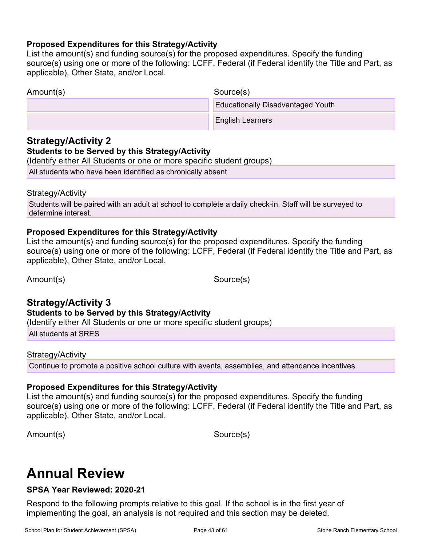#### **Proposed Expenditures for this Strategy/Activity**

List the amount(s) and funding source(s) for the proposed expenditures. Specify the funding source(s) using one or more of the following: LCFF, Federal (if Federal identify the Title and Part, as applicable), Other State, and/or Local.

| Amount(s) | Source(s)                                |
|-----------|------------------------------------------|
|           | <b>Educationally Disadvantaged Youth</b> |
|           | <b>English Learners</b>                  |
|           |                                          |

### **Strategy/Activity 2**

### **Students to be Served by this Strategy/Activity**

(Identify either All Students or one or more specific student groups)

All students who have been identified as chronically absent

#### Strategy/Activity

Students will be paired with an adult at school to complete a daily check-in. Staff will be surveyed to determine interest.

### **Proposed Expenditures for this Strategy/Activity**

List the amount(s) and funding source(s) for the proposed expenditures. Specify the funding source(s) using one or more of the following: LCFF, Federal (if Federal identify the Title and Part, as applicable), Other State, and/or Local.

Amount(s) Source(s)

### **Strategy/Activity 3**

**Students to be Served by this Strategy/Activity**

(Identify either All Students or one or more specific student groups)

All students at SRES

#### Strategy/Activity

Continue to promote a positive school culture with events, assemblies, and attendance incentives.

#### **Proposed Expenditures for this Strategy/Activity**

List the amount(s) and funding source(s) for the proposed expenditures. Specify the funding source(s) using one or more of the following: LCFF, Federal (if Federal identify the Title and Part, as applicable), Other State, and/or Local.

Amount(s) Source(s)

## **Annual Review**

### **SPSA Year Reviewed: 2020-21**

Respond to the following prompts relative to this goal. If the school is in the first year of implementing the goal, an analysis is not required and this section may be deleted.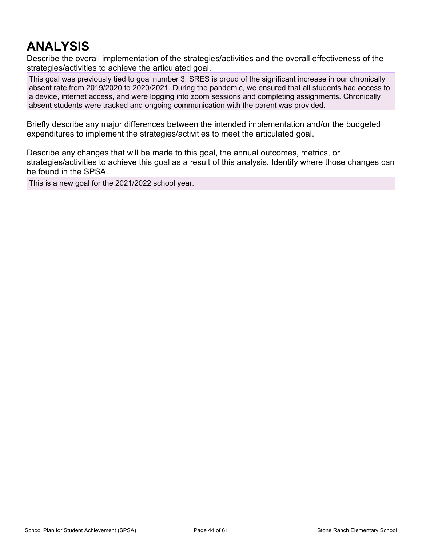## **ANALYSIS**

Describe the overall implementation of the strategies/activities and the overall effectiveness of the strategies/activities to achieve the articulated goal.

This goal was previously tied to goal number 3. SRES is proud of the significant increase in our chronically absent rate from 2019/2020 to 2020/2021. During the pandemic, we ensured that all students had access to a device, internet access, and were logging into zoom sessions and completing assignments. Chronically absent students were tracked and ongoing communication with the parent was provided.

Briefly describe any major differences between the intended implementation and/or the budgeted expenditures to implement the strategies/activities to meet the articulated goal.

Describe any changes that will be made to this goal, the annual outcomes, metrics, or strategies/activities to achieve this goal as a result of this analysis. Identify where those changes can be found in the SPSA.

This is a new goal for the 2021/2022 school year.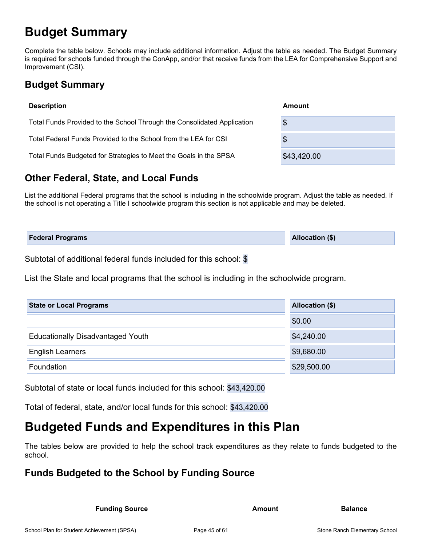## **Budget Summary**

Complete the table below. Schools may include additional information. Adjust the table as needed. The Budget Summary is required for schools funded through the ConApp, and/or that receive funds from the LEA for Comprehensive Support and Improvement (CSI).

## **Budget Summary**

| <b>Description</b>                                                      | Amount      |
|-------------------------------------------------------------------------|-------------|
| Total Funds Provided to the School Through the Consolidated Application | \$          |
| Total Federal Funds Provided to the School from the LEA for CSI         | \$          |
| Total Funds Budgeted for Strategies to Meet the Goals in the SPSA       | \$43,420.00 |

## **Other Federal, State, and Local Funds**

List the additional Federal programs that the school is including in the schoolwide program. Adjust the table as needed. If the school is not operating a Title I schoolwide program this section is not applicable and may be deleted.

| <b>Federal Programs</b> | Allocation (\$) |
|-------------------------|-----------------|
|                         |                 |

Subtotal of additional federal funds included for this school: \$

List the State and local programs that the school is including in the schoolwide program.

| <b>State or Local Programs</b>           | Allocation (\$) |
|------------------------------------------|-----------------|
|                                          | \$0.00          |
| <b>Educationally Disadvantaged Youth</b> | \$4,240.00      |
| <b>English Learners</b>                  | \$9,680.00      |
| Foundation                               | \$29,500.00     |

Subtotal of state or local funds included for this school: \$43,420.00

Total of federal, state, and/or local funds for this school: \$43,420.00

## **Budgeted Funds and Expenditures in this Plan**

The tables below are provided to help the school track expenditures as they relate to funds budgeted to the school.

## **Funds Budgeted to the School by Funding Source**

**Funding Source Amount Balance Balance**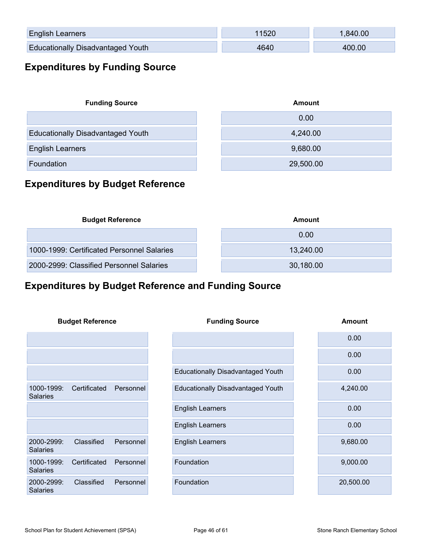| <b>English Learners</b>                  |      | 840.00 |
|------------------------------------------|------|--------|
| <b>Educationally Disadvantaged Youth</b> | 1640 | 1በበ በበ |

## **Expenditures by Funding Source**

| <b>Funding Source</b>                    | Amount    |  |  |
|------------------------------------------|-----------|--|--|
|                                          | 0.00      |  |  |
| <b>Educationally Disadvantaged Youth</b> | 4,240.00  |  |  |
| <b>English Learners</b>                  | 9,680.00  |  |  |
| Foundation                               | 29,500.00 |  |  |

## **Expenditures by Budget Reference**

| <b>Budget Reference</b>                    | Amount    |
|--------------------------------------------|-----------|
|                                            | 0.00      |
| 1000-1999: Certificated Personnel Salaries | 13,240.00 |
| 2000-2999: Classified Personnel Salaries   | 30,180.00 |

## **Expenditures by Budget Reference and Funding Source**

|                               | <b>Budget Reference</b> |           | <b>Funding Source</b>                    | <b>Amount</b> |
|-------------------------------|-------------------------|-----------|------------------------------------------|---------------|
|                               |                         |           |                                          | 0.00          |
|                               |                         |           |                                          | 0.00          |
|                               |                         |           | <b>Educationally Disadvantaged Youth</b> | 0.00          |
| 1000-1999:<br><b>Salaries</b> | Certificated            | Personnel | <b>Educationally Disadvantaged Youth</b> | 4,240.00      |
|                               |                         |           | <b>English Learners</b>                  | 0.00          |
|                               |                         |           | <b>English Learners</b>                  | 0.00          |
| 2000-2999:<br><b>Salaries</b> | Classified              | Personnel | <b>English Learners</b>                  | 9,680.00      |
| 1000-1999:<br><b>Salaries</b> | Certificated            | Personnel | Foundation                               | 9,000.00      |
| 2000-2999:<br><b>Salaries</b> | Classified              | Personnel | Foundation                               | 20,500.00     |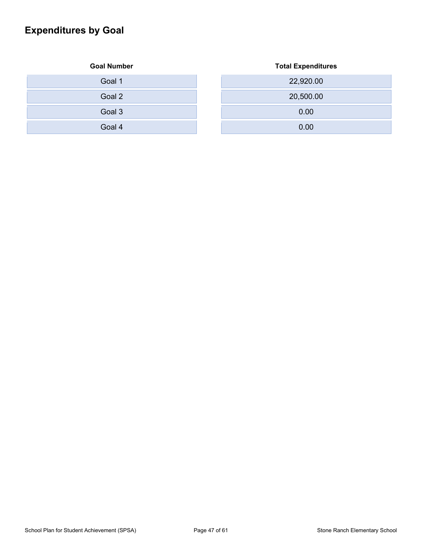## **Expenditures by Goal**

| <b>Goal Number</b> | <b>Total Expenditures</b> |
|--------------------|---------------------------|
| Goal 1             | 22,920.00                 |
| Goal 2             | 20,500.00                 |
| Goal 3             | 0.00                      |
| Goal 4             | 0.00                      |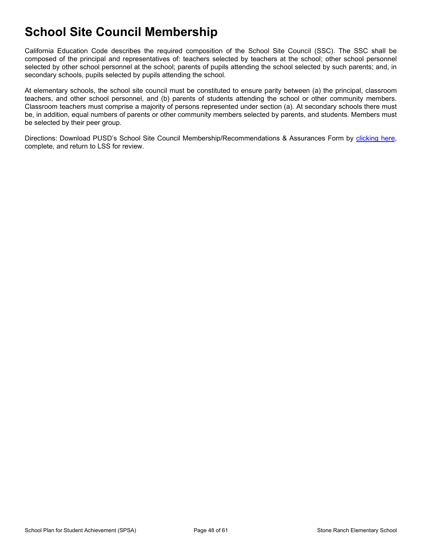## **School Site Council Membership**

California Education Code describes the required composition of the School Site Council (SSC). The SSC shall be composed of the principal and representatives of: teachers selected by teachers at the school; other school personnel selected by other school personnel at the school; parents of pupils attending the school selected by such parents; and, in secondary schools, pupils selected by pupils attending the school.

At elementary schools, the school site council must be constituted to ensure parity between (a) the principal, classroom teachers, and other school personnel, and (b) parents of students attending the school or other community members. Classroom teachers must comprise a majority of persons represented under section (a). At secondary schools there must be, in addition, equal numbers of parents or other community members selected by parents, and students. Members must be selected by their peer group.

Directions: Download PUSD's School Site Council Membership/Recommendations & Assurances Form by [clicking here,](http://www.doc-tracking.com/screenshots/Poway/2021-22_SPSA_Signature_Assurances%20Fillable.pdf) complete, and return to LSS for review.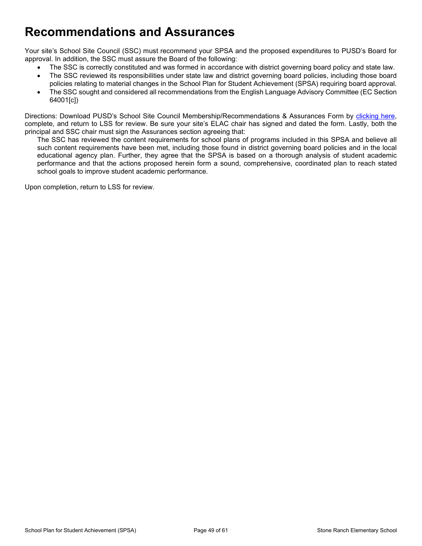## **Recommendations and Assurances**

Your site's School Site Council (SSC) must recommend your SPSA and the proposed expenditures to PUSD's Board for approval. In addition, the SSC must assure the Board of the following:

- The SSC is correctly constituted and was formed in accordance with district governing board policy and state law.
- The SSC reviewed its responsibilities under state law and district governing board policies, including those board policies relating to material changes in the School Plan for Student Achievement (SPSA) requiring board approval.
- The SSC sought and considered all recommendations from the English Language Advisory Committee (EC Section 64001[c])

Directions: Download PUSD's School Site Council Membership/Recommendations & Assurances Form by [clicking here,](http://www.doc-tracking.com/screenshots/Poway/2021-22_SPSA_Signature_Assurances%20Fillable.pdf) complete, and return to LSS for review. Be sure your site's ELAC chair has signed and dated the form. Lastly, both the principal and SSC chair must sign the Assurances section agreeing that:

The SSC has reviewed the content requirements for school plans of programs included in this SPSA and believe all such content requirements have been met, including those found in district governing board policies and in the local educational agency plan. Further, they agree that the SPSA is based on a thorough analysis of student academic performance and that the actions proposed herein form a sound, comprehensive, coordinated plan to reach stated school goals to improve student academic performance.

Upon completion, return to LSS for review.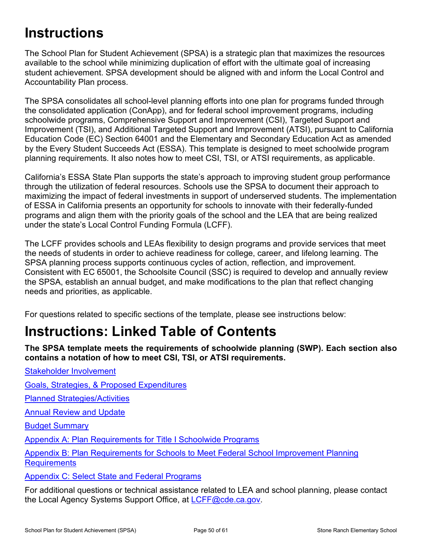## **Instructions**

The School Plan for Student Achievement (SPSA) is a strategic plan that maximizes the resources available to the school while minimizing duplication of effort with the ultimate goal of increasing student achievement. SPSA development should be aligned with and inform the Local Control and Accountability Plan process.

The SPSA consolidates all school-level planning efforts into one plan for programs funded through the consolidated application (ConApp), and for federal school improvement programs, including schoolwide programs, Comprehensive Support and Improvement (CSI), Targeted Support and Improvement (TSI), and Additional Targeted Support and Improvement (ATSI), pursuant to California Education Code (EC) Section 64001 and the Elementary and Secondary Education Act as amended by the Every Student Succeeds Act (ESSA). This template is designed to meet schoolwide program planning requirements. It also notes how to meet CSI, TSI, or ATSI requirements, as applicable.

California's ESSA State Plan supports the state's approach to improving student group performance through the utilization of federal resources. Schools use the SPSA to document their approach to maximizing the impact of federal investments in support of underserved students. The implementation of ESSA in California presents an opportunity for schools to innovate with their federally-funded programs and align them with the priority goals of the school and the LEA that are being realized under the state's Local Control Funding Formula (LCFF).

The LCFF provides schools and LEAs flexibility to design programs and provide services that meet the needs of students in order to achieve readiness for college, career, and lifelong learning. The SPSA planning process supports continuous cycles of action, reflection, and improvement. Consistent with EC 65001, the Schoolsite Council (SSC) is required to develop and annually review the SPSA, establish an annual budget, and make modifications to the plan that reflect changing needs and priorities, as applicable.

For questions related to specific sections of the template, please see instructions below:

## **Instructions: Linked Table of Contents**

**The SPSA template meets the requirements of schoolwide planning (SWP). Each section also contains a notation of how to meet CSI, TSI, or ATSI requirements.** 

[Stakeholder Involvement](#page-50-0) [Goals, Strategies, & Proposed Expenditures](#page-51-0) [Planned Strategies/Activities](#page-51-1) [Annual Review and Update](#page-52-0)

[Budget Summary](#page-53-0)

[Appendix A: Plan Requirements for Title I Schoolwide Programs](#page-55-0)

[Appendix B: Plan Requirements for Schools to Meet Federal School Improvement Planning](#page-58-0)  **[Requirements](#page-58-0)** 

[Appendix C: Select State and Federal Programs](#page-60-0)

For additional questions or technical assistance related to LEA and school planning, please contact the Local Agency Systems Support Office, at [LCFF@cde.ca.gov.](mailto:LCFF@cde.ca.gov)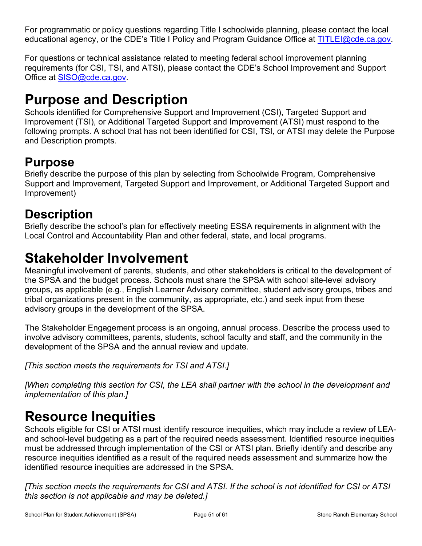For programmatic or policy questions regarding Title I schoolwide planning, please contact the local educational agency, or the CDE's Title I Policy and Program Guidance Office at [TITLEI@cde.ca.gov.](mailto:TITLEI@cde.ca.gov)

For questions or technical assistance related to meeting federal school improvement planning requirements (for CSI, TSI, and ATSI), please contact the CDE's School Improvement and Support Office at [SISO@cde.ca.gov.](mailto:SISO@cde.ca.gov)

## **Purpose and Description**

Schools identified for Comprehensive Support and Improvement (CSI), Targeted Support and Improvement (TSI), or Additional Targeted Support and Improvement (ATSI) must respond to the following prompts. A school that has not been identified for CSI, TSI, or ATSI may delete the Purpose and Description prompts.

## **Purpose**

Briefly describe the purpose of this plan by selecting from Schoolwide Program, Comprehensive Support and Improvement, Targeted Support and Improvement, or Additional Targeted Support and Improvement)

## **Description**

Briefly describe the school's plan for effectively meeting ESSA requirements in alignment with the Local Control and Accountability Plan and other federal, state, and local programs.

## <span id="page-50-0"></span>**Stakeholder Involvement**

Meaningful involvement of parents, students, and other stakeholders is critical to the development of the SPSA and the budget process. Schools must share the SPSA with school site-level advisory groups, as applicable (e.g., English Learner Advisory committee, student advisory groups, tribes and tribal organizations present in the community, as appropriate, etc.) and seek input from these advisory groups in the development of the SPSA.

The Stakeholder Engagement process is an ongoing, annual process. Describe the process used to involve advisory committees, parents, students, school faculty and staff, and the community in the development of the SPSA and the annual review and update.

*[This section meets the requirements for TSI and ATSI.]*

*[When completing this section for CSI, the LEA shall partner with the school in the development and implementation of this plan.]*

## **Resource Inequities**

Schools eligible for CSI or ATSI must identify resource inequities, which may include a review of LEAand school-level budgeting as a part of the required needs assessment. Identified resource inequities must be addressed through implementation of the CSI or ATSI plan. Briefly identify and describe any resource inequities identified as a result of the required needs assessment and summarize how the identified resource inequities are addressed in the SPSA.

*[This section meets the requirements for CSI and ATSI. If the school is not identified for CSI or ATSI this section is not applicable and may be deleted.]*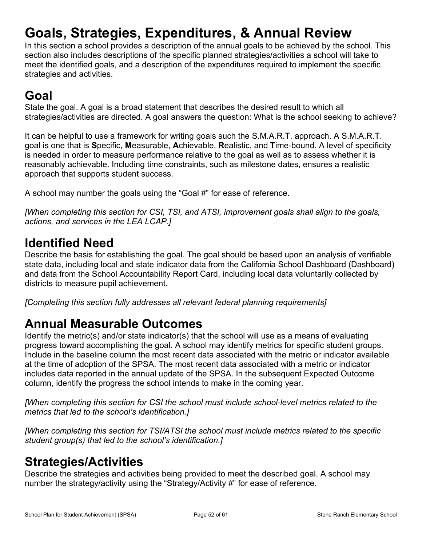## <span id="page-51-0"></span>**Goals, Strategies, Expenditures, & Annual Review**

In this section a school provides a description of the annual goals to be achieved by the school. This section also includes descriptions of the specific planned strategies/activities a school will take to meet the identified goals, and a description of the expenditures required to implement the specific strategies and activities.

## **Goal**

State the goal. A goal is a broad statement that describes the desired result to which all strategies/activities are directed. A goal answers the question: What is the school seeking to achieve?

It can be helpful to use a framework for writing goals such the S.M.A.R.T. approach. A S.M.A.R.T. goal is one that is **S**pecific, **M**easurable, **A**chievable, **R**ealistic, and **T**ime-bound. A level of specificity is needed in order to measure performance relative to the goal as well as to assess whether it is reasonably achievable. Including time constraints, such as milestone dates, ensures a realistic approach that supports student success.

A school may number the goals using the "Goal #" for ease of reference.

*[When completing this section for CSI, TSI, and ATSI, improvement goals shall align to the goals, actions, and services in the LEA LCAP.]*

## **Identified Need**

Describe the basis for establishing the goal. The goal should be based upon an analysis of verifiable state data, including local and state indicator data from the California School Dashboard (Dashboard) and data from the School Accountability Report Card, including local data voluntarily collected by districts to measure pupil achievement.

*[Completing this section fully addresses all relevant federal planning requirements]*

## **Annual Measurable Outcomes**

Identify the metric(s) and/or state indicator(s) that the school will use as a means of evaluating progress toward accomplishing the goal. A school may identify metrics for specific student groups. Include in the baseline column the most recent data associated with the metric or indicator available at the time of adoption of the SPSA. The most recent data associated with a metric or indicator includes data reported in the annual update of the SPSA. In the subsequent Expected Outcome column, identify the progress the school intends to make in the coming year.

*[When completing this section for CSI the school must include school-level metrics related to the metrics that led to the school's identification.]*

*[When completing this section for TSI/ATSI the school must include metrics related to the specific student group(s) that led to the school's identification.]* 

## <span id="page-51-1"></span>**Strategies/Activities**

Describe the strategies and activities being provided to meet the described goal. A school may number the strategy/activity using the "Strategy/Activity #" for ease of reference.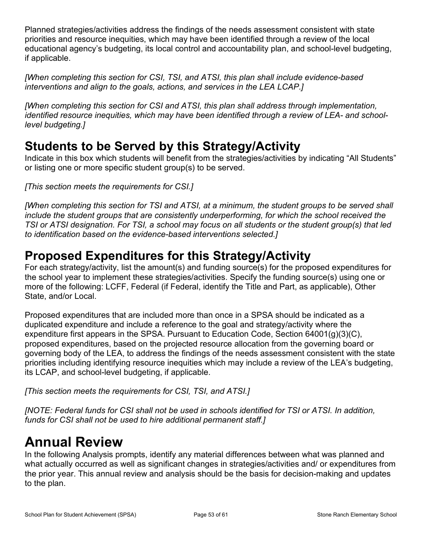Planned strategies/activities address the findings of the needs assessment consistent with state priorities and resource inequities, which may have been identified through a review of the local educational agency's budgeting, its local control and accountability plan, and school-level budgeting, if applicable.

*[When completing this section for CSI, TSI, and ATSI, this plan shall include evidence-based interventions and align to the goals, actions, and services in the LEA LCAP.]*

*[When completing this section for CSI and ATSI, this plan shall address through implementation, identified resource inequities, which may have been identified through a review of LEA- and schoollevel budgeting.]*

## **Students to be Served by this Strategy/Activity**

Indicate in this box which students will benefit from the strategies/activities by indicating "All Students" or listing one or more specific student group(s) to be served.

*[This section meets the requirements for CSI.]*

*[When completing this section for TSI and ATSI, at a minimum, the student groups to be served shall include the student groups that are consistently underperforming, for which the school received the TSI or ATSI designation. For TSI, a school may focus on all students or the student group(s) that led to identification based on the evidence-based interventions selected.]*

## **Proposed Expenditures for this Strategy/Activity**

For each strategy/activity, list the amount(s) and funding source(s) for the proposed expenditures for the school year to implement these strategies/activities. Specify the funding source(s) using one or more of the following: LCFF, Federal (if Federal, identify the Title and Part, as applicable), Other State, and/or Local.

Proposed expenditures that are included more than once in a SPSA should be indicated as a duplicated expenditure and include a reference to the goal and strategy/activity where the expenditure first appears in the SPSA. Pursuant to Education Code, Section 64001(g)(3)(C), proposed expenditures, based on the projected resource allocation from the governing board or governing body of the LEA, to address the findings of the needs assessment consistent with the state priorities including identifying resource inequities which may include a review of the LEA's budgeting, its LCAP, and school-level budgeting, if applicable.

*[This section meets the requirements for CSI, TSI, and ATSI.]*

*[NOTE: Federal funds for CSI shall not be used in schools identified for TSI or ATSI. In addition, funds for CSI shall not be used to hire additional permanent staff.]*

## <span id="page-52-0"></span>**Annual Review**

In the following Analysis prompts, identify any material differences between what was planned and what actually occurred as well as significant changes in strategies/activities and/ or expenditures from the prior year. This annual review and analysis should be the basis for decision-making and updates to the plan.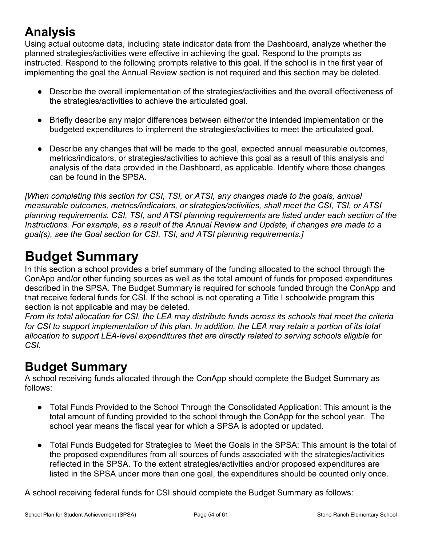## **Analysis**

Using actual outcome data, including state indicator data from the Dashboard, analyze whether the planned strategies/activities were effective in achieving the goal. Respond to the prompts as instructed. Respond to the following prompts relative to this goal. If the school is in the first year of implementing the goal the Annual Review section is not required and this section may be deleted.

- Describe the overall implementation of the strategies/activities and the overall effectiveness of the strategies/activities to achieve the articulated goal.
- Briefly describe any major differences between either/or the intended implementation or the budgeted expenditures to implement the strategies/activities to meet the articulated goal.
- Describe any changes that will be made to the goal, expected annual measurable outcomes, metrics/indicators, or strategies/activities to achieve this goal as a result of this analysis and analysis of the data provided in the Dashboard, as applicable. Identify where those changes can be found in the SPSA.

*[When completing this section for CSI, TSI, or ATSI, any changes made to the goals, annual measurable outcomes, metrics/indicators, or strategies/activities, shall meet the CSI, TSI, or ATSI planning requirements. CSI, TSI, and ATSI planning requirements are listed under each section of the Instructions. For example, as a result of the Annual Review and Update, if changes are made to a goal(s), see the Goal section for CSI, TSI, and ATSI planning requirements.]* 

## <span id="page-53-0"></span>**Budget Summary**

In this section a school provides a brief summary of the funding allocated to the school through the ConApp and/or other funding sources as well as the total amount of funds for proposed expenditures described in the SPSA. The Budget Summary is required for schools funded through the ConApp and that receive federal funds for CSI. If the school is not operating a Title I schoolwide program this section is not applicable and may be deleted.

*From its total allocation for CSI, the LEA may distribute funds across its schools that meet the criteria for CSI to support implementation of this plan. In addition, the LEA may retain a portion of its total allocation to support LEA-level expenditures that are directly related to serving schools eligible for CSI.*

## **Budget Summary**

A school receiving funds allocated through the ConApp should complete the Budget Summary as follows:

- Total Funds Provided to the School Through the Consolidated Application: This amount is the total amount of funding provided to the school through the ConApp for the school year. The school year means the fiscal year for which a SPSA is adopted or updated.
- Total Funds Budgeted for Strategies to Meet the Goals in the SPSA: This amount is the total of the proposed expenditures from all sources of funds associated with the strategies/activities reflected in the SPSA. To the extent strategies/activities and/or proposed expenditures are listed in the SPSA under more than one goal, the expenditures should be counted only once.

A school receiving federal funds for CSI should complete the Budget Summary as follows: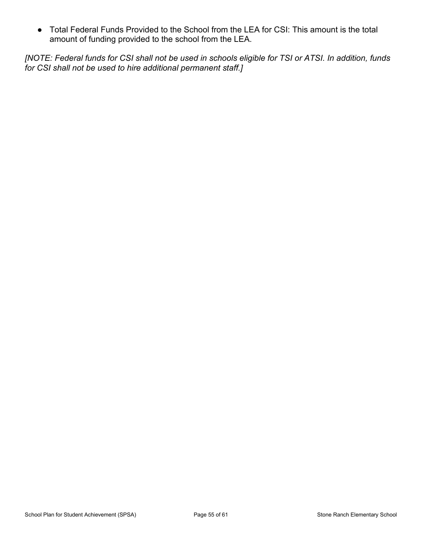● Total Federal Funds Provided to the School from the LEA for CSI: This amount is the total amount of funding provided to the school from the LEA.

*[NOTE: Federal funds for CSI shall not be used in schools eligible for TSI or ATSI. In addition, funds for CSI shall not be used to hire additional permanent staff.]*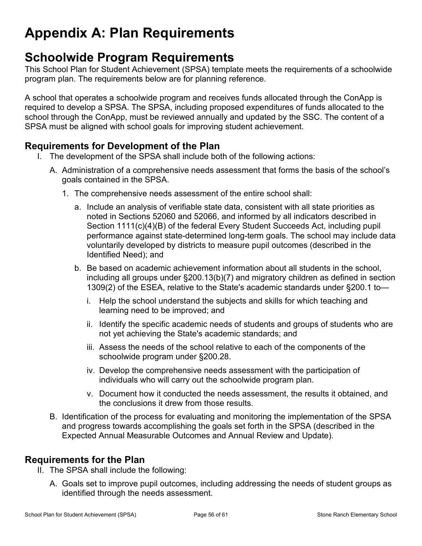## <span id="page-55-0"></span>**Appendix A: Plan Requirements**

## **Schoolwide Program Requirements**

This School Plan for Student Achievement (SPSA) template meets the requirements of a schoolwide program plan. The requirements below are for planning reference.

A school that operates a schoolwide program and receives funds allocated through the ConApp is required to develop a SPSA. The SPSA, including proposed expenditures of funds allocated to the school through the ConApp, must be reviewed annually and updated by the SSC. The content of a SPSA must be aligned with school goals for improving student achievement.

### **Requirements for Development of the Plan**

- I. The development of the SPSA shall include both of the following actions:
	- A. Administration of a comprehensive needs assessment that forms the basis of the school's goals contained in the SPSA.
		- 1. The comprehensive needs assessment of the entire school shall:
			- a. Include an analysis of verifiable state data, consistent with all state priorities as noted in Sections 52060 and 52066, and informed by all indicators described in Section 1111(c)(4)(B) of the federal Every Student Succeeds Act, including pupil performance against state-determined long-term goals. The school may include data voluntarily developed by districts to measure pupil outcomes (described in the Identified Need); and
			- b. Be based on academic achievement information about all students in the school, including all groups under §200.13(b)(7) and migratory children as defined in section 1309(2) of the ESEA, relative to the State's academic standards under §200.1 to
				- i. Help the school understand the subjects and skills for which teaching and learning need to be improved; and
				- ii. Identify the specific academic needs of students and groups of students who are not yet achieving the State's academic standards; and
				- iii. Assess the needs of the school relative to each of the components of the schoolwide program under §200.28.
				- iv. Develop the comprehensive needs assessment with the participation of individuals who will carry out the schoolwide program plan.
				- v. Document how it conducted the needs assessment, the results it obtained, and the conclusions it drew from those results.
	- B. Identification of the process for evaluating and monitoring the implementation of the SPSA and progress towards accomplishing the goals set forth in the SPSA (described in the Expected Annual Measurable Outcomes and Annual Review and Update).

### **Requirements for the Plan**

- II. The SPSA shall include the following:
	- A. Goals set to improve pupil outcomes, including addressing the needs of student groups as identified through the needs assessment.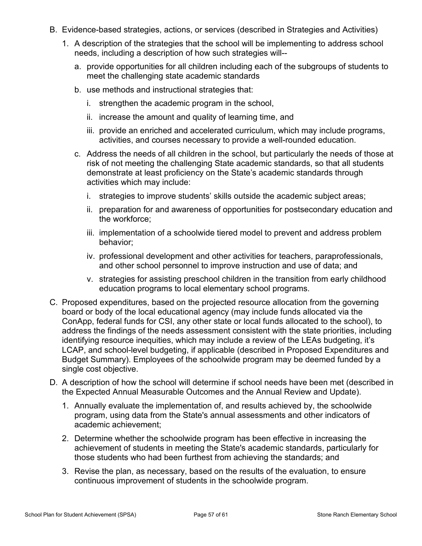- B. Evidence-based strategies, actions, or services (described in Strategies and Activities)
	- 1. A description of the strategies that the school will be implementing to address school needs, including a description of how such strategies will-
		- a. provide opportunities for all children including each of the subgroups of students to meet the challenging state academic standards
		- b. use methods and instructional strategies that:
			- i. strengthen the academic program in the school,
			- ii. increase the amount and quality of learning time, and
			- iii. provide an enriched and accelerated curriculum, which may include programs, activities, and courses necessary to provide a well-rounded education.
		- c. Address the needs of all children in the school, but particularly the needs of those at risk of not meeting the challenging State academic standards, so that all students demonstrate at least proficiency on the State's academic standards through activities which may include:
			- i. strategies to improve students' skills outside the academic subject areas;
			- ii. preparation for and awareness of opportunities for postsecondary education and the workforce;
			- iii. implementation of a schoolwide tiered model to prevent and address problem behavior;
			- iv. professional development and other activities for teachers, paraprofessionals, and other school personnel to improve instruction and use of data; and
			- v. strategies for assisting preschool children in the transition from early childhood education programs to local elementary school programs.
- C. Proposed expenditures, based on the projected resource allocation from the governing board or body of the local educational agency (may include funds allocated via the ConApp, federal funds for CSI, any other state or local funds allocated to the school), to address the findings of the needs assessment consistent with the state priorities, including identifying resource inequities, which may include a review of the LEAs budgeting, it's LCAP, and school-level budgeting, if applicable (described in Proposed Expenditures and Budget Summary). Employees of the schoolwide program may be deemed funded by a single cost objective.
- D. A description of how the school will determine if school needs have been met (described in the Expected Annual Measurable Outcomes and the Annual Review and Update).
	- 1. Annually evaluate the implementation of, and results achieved by, the schoolwide program, using data from the State's annual assessments and other indicators of academic achievement;
	- 2. Determine whether the schoolwide program has been effective in increasing the achievement of students in meeting the State's academic standards, particularly for those students who had been furthest from achieving the standards; and
	- 3. Revise the plan, as necessary, based on the results of the evaluation, to ensure continuous improvement of students in the schoolwide program.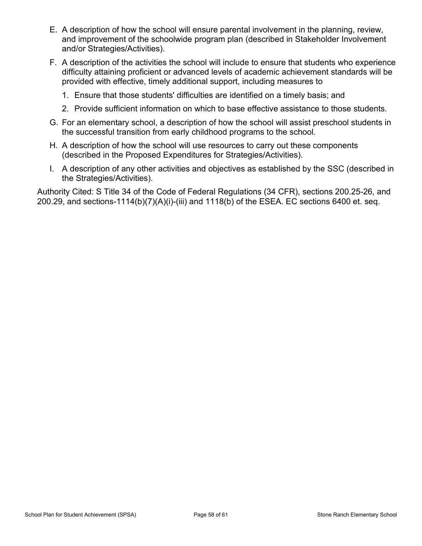- E. A description of how the school will ensure parental involvement in the planning, review, and improvement of the schoolwide program plan (described in Stakeholder Involvement and/or Strategies/Activities).
- F. A description of the activities the school will include to ensure that students who experience difficulty attaining proficient or advanced levels of academic achievement standards will be provided with effective, timely additional support, including measures to
	- 1. Ensure that those students' difficulties are identified on a timely basis; and
	- 2. Provide sufficient information on which to base effective assistance to those students.
- G. For an elementary school, a description of how the school will assist preschool students in the successful transition from early childhood programs to the school.
- H. A description of how the school will use resources to carry out these components (described in the Proposed Expenditures for Strategies/Activities).
- I. A description of any other activities and objectives as established by the SSC (described in the Strategies/Activities).

Authority Cited: S Title 34 of the Code of Federal Regulations (34 CFR), sections 200.25-26, and 200.29, and sections-1114(b)(7)(A)(i)-(iii) and 1118(b) of the ESEA. EC sections 6400 et. seq.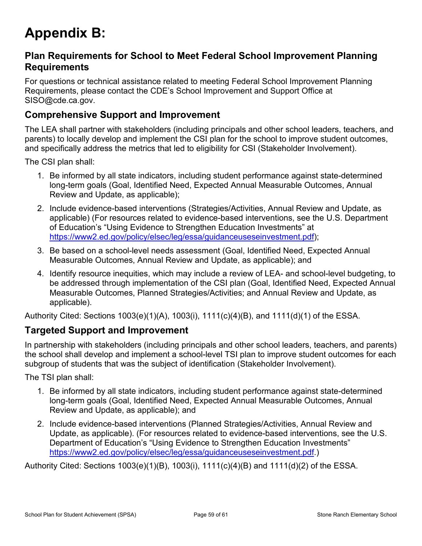## <span id="page-58-0"></span>**Appendix B:**

### **Plan Requirements for School to Meet Federal School Improvement Planning Requirements**

For questions or technical assistance related to meeting Federal School Improvement Planning Requirements, please contact the CDE's School Improvement and Support Office at SISO@cde.ca.gov.

### **Comprehensive Support and Improvement**

The LEA shall partner with stakeholders (including principals and other school leaders, teachers, and parents) to locally develop and implement the CSI plan for the school to improve student outcomes, and specifically address the metrics that led to eligibility for CSI (Stakeholder Involvement).

The CSI plan shall:

- 1. Be informed by all state indicators, including student performance against state-determined long-term goals (Goal, Identified Need, Expected Annual Measurable Outcomes, Annual Review and Update, as applicable);
- 2. Include evidence-based interventions (Strategies/Activities, Annual Review and Update, as applicable) (For resources related to evidence-based interventions, see the U.S. Department of Education's "Using Evidence to Strengthen Education Investments" at https://www2.ed.gov/policy/elsec/leg/essa/guidanceuseseinvestment.pdf);
- 3. Be based on a school-level needs assessment (Goal, Identified Need, Expected Annual Measurable Outcomes, Annual Review and Update, as applicable); and
- 4. Identify resource inequities, which may include a review of LEA- and school-level budgeting, to be addressed through implementation of the CSI plan (Goal, Identified Need, Expected Annual Measurable Outcomes, Planned Strategies/Activities; and Annual Review and Update, as applicable).

Authority Cited: Sections 1003(e)(1)(A), 1003(i), 1111(c)(4)(B), and 1111(d)(1) of the ESSA.

### **Targeted Support and Improvement**

In partnership with stakeholders (including principals and other school leaders, teachers, and parents) the school shall develop and implement a school-level TSI plan to improve student outcomes for each subgroup of students that was the subject of identification (Stakeholder Involvement).

The TSI plan shall:

- 1. Be informed by all state indicators, including student performance against state-determined long-term goals (Goal, Identified Need, Expected Annual Measurable Outcomes, Annual Review and Update, as applicable); and
- 2. Include evidence-based interventions (Planned Strategies/Activities, Annual Review and Update, as applicable). (For resources related to evidence-based interventions, see the U.S. Department of Education's "Using Evidence to Strengthen Education Investments" https://www2.ed.gov/policy/elsec/leg/essa/guidanceuseseinvestment.pdf.)

Authority Cited: Sections 1003(e)(1)(B), 1003(i), 1111(c)(4)(B) and 1111(d)(2) of the ESSA.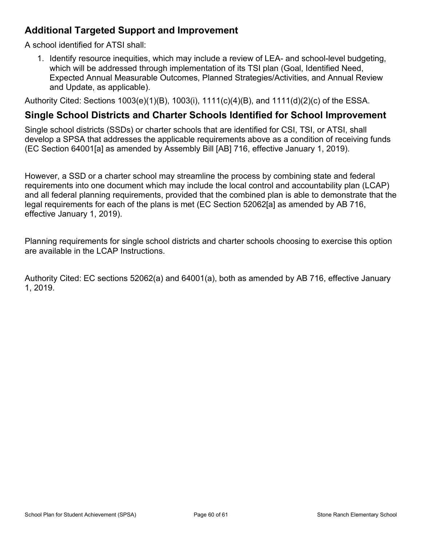## **Additional Targeted Support and Improvement**

A school identified for ATSI shall:

1. Identify resource inequities, which may include a review of LEA- and school-level budgeting, which will be addressed through implementation of its TSI plan (Goal, Identified Need, Expected Annual Measurable Outcomes, Planned Strategies/Activities, and Annual Review and Update, as applicable).

Authority Cited: Sections 1003(e)(1)(B), 1003(i), 1111(c)(4)(B), and 1111(d)(2)(c) of the ESSA.

### **Single School Districts and Charter Schools Identified for School Improvement**

Single school districts (SSDs) or charter schools that are identified for CSI, TSI, or ATSI, shall develop a SPSA that addresses the applicable requirements above as a condition of receiving funds (EC Section 64001[a] as amended by Assembly Bill [AB] 716, effective January 1, 2019).

However, a SSD or a charter school may streamline the process by combining state and federal requirements into one document which may include the local control and accountability plan (LCAP) and all federal planning requirements, provided that the combined plan is able to demonstrate that the legal requirements for each of the plans is met (EC Section 52062[a] as amended by AB 716, effective January 1, 2019).

Planning requirements for single school districts and charter schools choosing to exercise this option are available in the LCAP Instructions.

Authority Cited: EC sections 52062(a) and 64001(a), both as amended by AB 716, effective January 1, 2019.